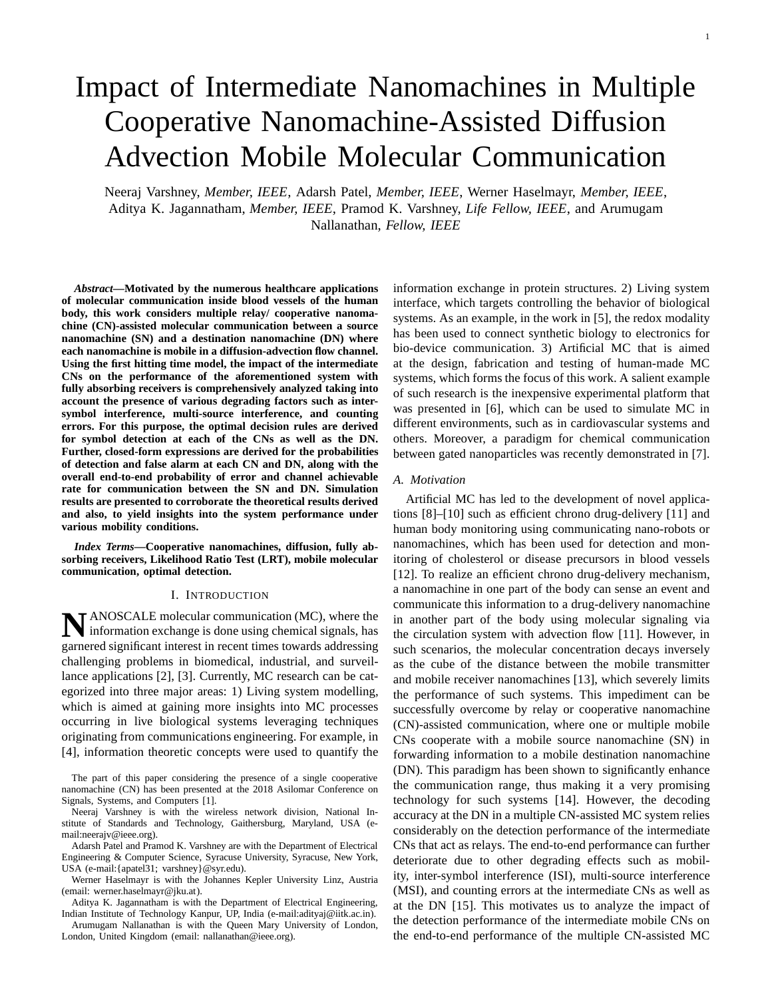# Impact of Intermediate Nanomachines in Multiple Cooperative Nanomachine-Assisted Diffusion Advection Mobile Molecular Communication

Neeraj Varshney, *Member, IEEE*, Adarsh Patel, *Member, IEEE*, Werner Haselmayr, *Member, IEEE*, Aditya K. Jagannatham, *Member, IEEE*, Pramod K. Varshney, *Life Fellow, IEEE*, and Arumugam Nallanathan, *Fellow, IEEE*

*Abstract***—Motivated by the numerous healthcare applications of molecular communication inside blood vessels of the human body, this work considers multiple relay/ cooperative nanomachine (CN)-assisted molecular communication between a source nanomachine (SN) and a destination nanomachine (DN) where each nanomachine is mobile in a diffusion-advection flow channel. Using the first hitting time model, the impact of the intermediate CNs on the performance of the aforementioned system with fully absorbing receivers is comprehensively analyzed taking into account the presence of various degrading factors such as intersymbol interference, multi-source interference, and counting errors. For this purpose, the optimal decision rules are derived for symbol detection at each of the CNs as well as the DN. Further, closed-form expressions are derived for the probabilities of detection and false alarm at each CN and DN, along with the overall end-to-end probability of error and channel achievable rate for communication between the SN and DN. Simulation results are presented to corroborate the theoretical results derived and also, to yield insights into the system performance under various mobility conditions.**

*Index Terms***—Cooperative nanomachines, diffusion, fully absorbing receivers, Likelihood Ratio Test (LRT), mobile molecular communication, optimal detection.**

### I. INTRODUCTION

**N** ANOSCALE molecular communication (MC), where the information exchange is done using chemical signals, has information exchange is done using chemical signals, has garnered significant interest in recent times towards addressing challenging problems in biomedical, industrial, and surveillance applications [2], [3]. Currently, MC research can be categorized into three major areas: 1) Living system modelling, which is aimed at gaining more insights into MC processes occurring in live biological systems leveraging techniques originating from communications engineering. For example, in [4], information theoretic concepts were used to quantify the

The part of this paper considering the presence of a single cooperative nanomachine (CN) has been presented at the 2018 Asilomar Conference on Signals, Systems, and Computers [1].

Neeraj Varshney is with the wireless network division, National Institute of Standards and Technology, Gaithersburg, Maryland, USA (email:neerajv@ieee.org).

Adarsh Patel and Pramod K. Varshney are with the Department of Electrical Engineering & Computer Science, Syracuse University, Syracuse, New York, USA (e-mail:{apatel31; varshney}@syr.edu).

Werner Haselmayr is with the Johannes Kepler University Linz, Austria (email: werner.haselmayr@jku.at).

Aditya K. Jagannatham is with the Department of Electrical Engineering, Indian Institute of Technology Kanpur, UP, India (e-mail:adityaj@iitk.ac.in).

Arumugam Nallanathan is with the Queen Mary University of London, London, United Kingdom (email: nallanathan@ieee.org).

information exchange in protein structures. 2) Living system interface, which targets controlling the behavior of biological systems. As an example, in the work in [5], the redox modality has been used to connect synthetic biology to electronics for bio-device communication. 3) Artificial MC that is aimed at the design, fabrication and testing of human-made MC systems, which forms the focus of this work. A salient example of such research is the inexpensive experimental platform that was presented in [6], which can be used to simulate MC in different environments, such as in cardiovascular systems and others. Moreover, a paradigm for chemical communication between gated nanoparticles was recently demonstrated in [7].

#### *A. Motivation*

Artificial MC has led to the development of novel applications [8]–[10] such as efficient chrono drug-delivery [11] and human body monitoring using communicating nano-robots or nanomachines, which has been used for detection and monitoring of cholesterol or disease precursors in blood vessels [12]. To realize an efficient chrono drug-delivery mechanism, a nanomachine in one part of the body can sense an event and communicate this information to a drug-delivery nanomachine in another part of the body using molecular signaling via the circulation system with advection flow [11]. However, in such scenarios, the molecular concentration decays inversely as the cube of the distance between the mobile transmitter and mobile receiver nanomachines [13], which severely limits the performance of such systems. This impediment can be successfully overcome by relay or cooperative nanomachine (CN)-assisted communication, where one or multiple mobile CNs cooperate with a mobile source nanomachine (SN) in forwarding information to a mobile destination nanomachine (DN). This paradigm has been shown to significantly enhance the communication range, thus making it a very promising technology for such systems [14]. However, the decoding accuracy at the DN in a multiple CN-assisted MC system relies considerably on the detection performance of the intermediate CNs that act as relays. The end-to-end performance can further deteriorate due to other degrading effects such as mobility, inter-symbol interference (ISI), multi-source interference (MSI), and counting errors at the intermediate CNs as well as at the DN [15]. This motivates us to analyze the impact of the detection performance of the intermediate mobile CNs on the end-to-end performance of the multiple CN-assisted MC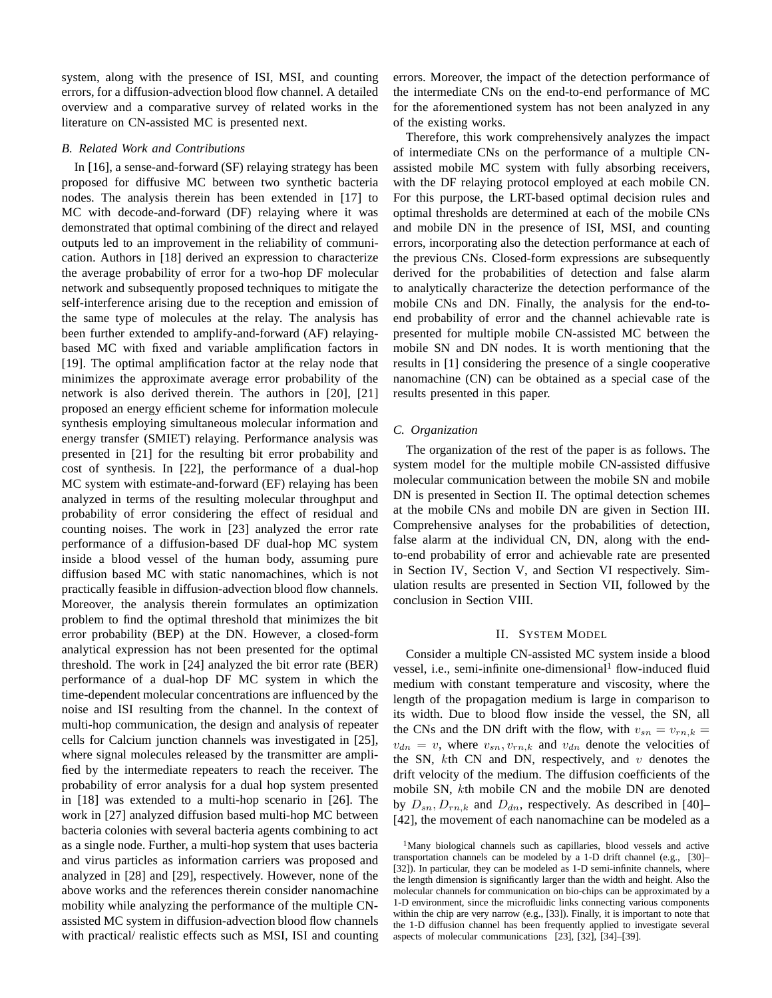system, along with the presence of ISI, MSI, and counting errors, for a diffusion-advection blood flow channel. A detailed overview and a comparative survey of related works in the literature on CN-assisted MC is presented next.

### *B. Related Work and Contributions*

In [16], a sense-and-forward (SF) relaying strategy has been proposed for diffusive MC between two synthetic bacteria nodes. The analysis therein has been extended in [17] to MC with decode-and-forward (DF) relaying where it was demonstrated that optimal combining of the direct and relayed outputs led to an improvement in the reliability of communication. Authors in [18] derived an expression to characterize the average probability of error for a two-hop DF molecular network and subsequently proposed techniques to mitigate the self-interference arising due to the reception and emission of the same type of molecules at the relay. The analysis has been further extended to amplify-and-forward (AF) relayingbased MC with fixed and variable amplification factors in [19]. The optimal amplification factor at the relay node that minimizes the approximate average error probability of the network is also derived therein. The authors in [20], [21] proposed an energy efficient scheme for information molecule synthesis employing simultaneous molecular information and energy transfer (SMIET) relaying. Performance analysis was presented in [21] for the resulting bit error probability and cost of synthesis. In [22], the performance of a dual-hop MC system with estimate-and-forward (EF) relaying has been analyzed in terms of the resulting molecular throughput and probability of error considering the effect of residual and counting noises. The work in [23] analyzed the error rate performance of a diffusion-based DF dual-hop MC system inside a blood vessel of the human body, assuming pure diffusion based MC with static nanomachines, which is not practically feasible in diffusion-advection blood flow channels. Moreover, the analysis therein formulates an optimization problem to find the optimal threshold that minimizes the bit error probability (BEP) at the DN. However, a closed-form analytical expression has not been presented for the optimal threshold. The work in [24] analyzed the bit error rate (BER) performance of a dual-hop DF MC system in which the time-dependent molecular concentrations are influenced by the noise and ISI resulting from the channel. In the context of multi-hop communication, the design and analysis of repeater cells for Calcium junction channels was investigated in [25], where signal molecules released by the transmitter are amplified by the intermediate repeaters to reach the receiver. The probability of error analysis for a dual hop system presented in [18] was extended to a multi-hop scenario in [26]. The work in [27] analyzed diffusion based multi-hop MC between bacteria colonies with several bacteria agents combining to act as a single node. Further, a multi-hop system that uses bacteria and virus particles as information carriers was proposed and analyzed in [28] and [29], respectively. However, none of the above works and the references therein consider nanomachine mobility while analyzing the performance of the multiple CNassisted MC system in diffusion-advection blood flow channels with practical/ realistic effects such as MSI, ISI and counting

errors. Moreover, the impact of the detection performance of the intermediate CNs on the end-to-end performance of MC for the aforementioned system has not been analyzed in any of the existing works.

Therefore, this work comprehensively analyzes the impact of intermediate CNs on the performance of a multiple CNassisted mobile MC system with fully absorbing receivers, with the DF relaying protocol employed at each mobile CN. For this purpose, the LRT-based optimal decision rules and optimal thresholds are determined at each of the mobile CNs and mobile DN in the presence of ISI, MSI, and counting errors, incorporating also the detection performance at each of the previous CNs. Closed-form expressions are subsequently derived for the probabilities of detection and false alarm to analytically characterize the detection performance of the mobile CNs and DN. Finally, the analysis for the end-toend probability of error and the channel achievable rate is presented for multiple mobile CN-assisted MC between the mobile SN and DN nodes. It is worth mentioning that the results in [1] considering the presence of a single cooperative nanomachine (CN) can be obtained as a special case of the results presented in this paper.

### *C. Organization*

The organization of the rest of the paper is as follows. The system model for the multiple mobile CN-assisted diffusive molecular communication between the mobile SN and mobile DN is presented in Section II. The optimal detection schemes at the mobile CNs and mobile DN are given in Section III. Comprehensive analyses for the probabilities of detection, false alarm at the individual CN, DN, along with the endto-end probability of error and achievable rate are presented in Section IV, Section V, and Section VI respectively. Simulation results are presented in Section VII, followed by the conclusion in Section VIII.

### II. SYSTEM MODEL

Consider a multiple CN-assisted MC system inside a blood vessel, i.e., semi-infinite one-dimensional<sup>1</sup> flow-induced fluid medium with constant temperature and viscosity, where the length of the propagation medium is large in comparison to its width. Due to blood flow inside the vessel, the SN, all the CNs and the DN drift with the flow, with  $v_{sn} = v_{rn,k}$  $v_{dn} = v$ , where  $v_{sn}, v_{rn,k}$  and  $v_{dn}$  denote the velocities of the SN,  $k$ th CN and DN, respectively, and  $v$  denotes the drift velocity of the medium. The diffusion coefficients of the mobile SN, kth mobile CN and the mobile DN are denoted by  $D_{sn}$ ,  $D_{rn,k}$  and  $D_{dn}$ , respectively. As described in [40]– [42], the movement of each nanomachine can be modeled as a

<sup>&</sup>lt;sup>1</sup>Many biological channels such as capillaries, blood vessels and active transportation channels can be modeled by a 1-D drift channel (e.g., [30]– [32]). In particular, they can be modeled as 1-D semi-infinite channels, where the length dimension is significantly larger than the width and height. Also the molecular channels for communication on bio-chips can be approximated by a 1-D environment, since the microfluidic links connecting various components within the chip are very narrow (e.g., [33]). Finally, it is important to note that the 1-D diffusion channel has been frequently applied to investigate several aspects of molecular communications [23], [32], [34]–[39].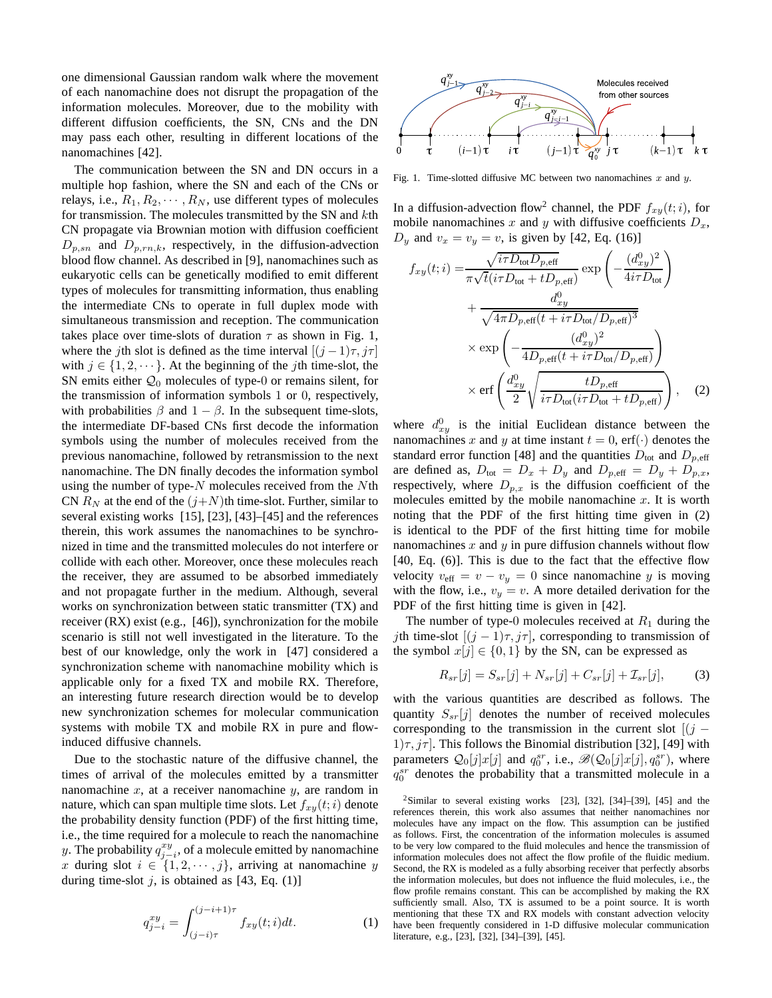one dimensional Gaussian random walk where the movement of each nanomachine does not disrupt the propagation of the information molecules. Moreover, due to the mobility with different diffusion coefficients, the SN, CNs and the DN may pass each other, resulting in different locations of the nanomachines [42].

The communication between the SN and DN occurs in a multiple hop fashion, where the SN and each of the CNs or relays, i.e.,  $R_1, R_2, \cdots, R_N$ , use different types of molecules for transmission. The molecules transmitted by the SN and kth CN propagate via Brownian motion with diffusion coefficient  $D_{p,sn}$  and  $D_{p,rn,k}$ , respectively, in the diffusion-advection blood flow channel. As described in [9], nanomachines such as eukaryotic cells can be genetically modified to emit different types of molecules for transmitting information, thus enabling the intermediate CNs to operate in full duplex mode with simultaneous transmission and reception. The communication takes place over time-slots of duration  $\tau$  as shown in Fig. 1, where the jth slot is defined as the time interval  $[(j-1)\tau, j\tau]$ with  $j \in \{1, 2, \dots\}$ . At the beginning of the *j*th time-slot, the SN emits either  $\mathcal{Q}_0$  molecules of type-0 or remains silent, for the transmission of information symbols 1 or 0, respectively, with probabilities  $\beta$  and  $1 - \beta$ . In the subsequent time-slots, the intermediate DF-based CNs first decode the information symbols using the number of molecules received from the previous nanomachine, followed by retransmission to the next nanomachine. The DN finally decodes the information symbol using the number of type- $N$  molecules received from the  $N$ th CN  $R_N$  at the end of the  $(j+N)$ th time-slot. Further, similar to several existing works [15], [23], [43]–[45] and the references therein, this work assumes the nanomachines to be synchronized in time and the transmitted molecules do not interfere or collide with each other. Moreover, once these molecules reach the receiver, they are assumed to be absorbed immediately and not propagate further in the medium. Although, several works on synchronization between static transmitter (TX) and receiver (RX) exist (e.g., [46]), synchronization for the mobile scenario is still not well investigated in the literature. To the best of our knowledge, only the work in [47] considered a synchronization scheme with nanomachine mobility which is applicable only for a fixed TX and mobile RX. Therefore, an interesting future research direction would be to develop new synchronization schemes for molecular communication systems with mobile TX and mobile RX in pure and flowinduced diffusive channels.

Due to the stochastic nature of the diffusive channel, the times of arrival of the molecules emitted by a transmitter nanomachine  $x$ , at a receiver nanomachine  $y$ , are random in nature, which can span multiple time slots. Let  $f_{xy}(t;i)$  denote the probability density function (PDF) of the first hitting time, i.e., the time required for a molecule to reach the nanomachine y. The probability  $q_{j-i}^{xy}$ , of a molecule emitted by nanomachine x during slot  $i \in \{1, 2, \dots, j\}$ , arriving at nanomachine y during time-slot  $j$ , is obtained as [43, Eq. (1)]

$$
q_{j-i}^{xy} = \int_{(j-i)\tau}^{(j-i+1)\tau} f_{xy}(t;i)dt.
$$
 (1)



Fig. 1. Time-slotted diffusive MC between two nanomachines  $x$  and  $y$ .

In a diffusion-advection flow<sup>2</sup> channel, the PDF  $f_{xy}(t;i)$ , for mobile nanomachines x and y with diffusive coefficients  $D_x$ ,  $D_y$  and  $v_x = v_y = v$ , is given by [42, Eq. (16)]

$$
f_{xy}(t;i) = \frac{\sqrt{i\tau D_{\text{tot}}D_{p,\text{eff}}}}{\pi\sqrt{t}(i\tau D_{\text{tot}} + tD_{p,\text{eff}})} \exp\left(-\frac{(d_{xy}^0)^2}{4i\tau D_{\text{tot}}}\right) + \frac{d_{xy}^0}{\sqrt{4\pi D_{p,\text{eff}}(t + i\tau D_{\text{tot}}/D_{p,\text{eff}})^3}} \times \exp\left(-\frac{(d_{xy}^0)^2}{4D_{p,\text{eff}}(t + i\tau D_{\text{tot}}/D_{p,\text{eff}})}\right) \times \text{erf}\left(\frac{d_{xy}^0}{2}\sqrt{\frac{tD_{p,\text{eff}}}{i\tau D_{\text{tot}}(i\tau D_{\text{tot}} + tD_{p,\text{eff}})}}\right), \quad (2)
$$

where  $d_{xy}^0$  is the initial Euclidean distance between the nanomachines x and y at time instant  $t = 0$ , erf( $\cdot$ ) denotes the standard error function [48] and the quantities  $D_{\text{tot}}$  and  $D_{p,\text{eff}}$ are defined as,  $D_{\text{tot}} = D_x + D_y$  and  $D_{p,\text{eff}} = D_y + D_{p,x}$ , respectively, where  $D_{p,x}$  is the diffusion coefficient of the molecules emitted by the mobile nanomachine  $x$ . It is worth noting that the PDF of the first hitting time given in (2) is identical to the PDF of the first hitting time for mobile nanomachines  $x$  and  $y$  in pure diffusion channels without flow [40, Eq. (6)]. This is due to the fact that the effective flow velocity  $v_{\text{eff}} = v - v_y = 0$  since nanomachine y is moving with the flow, i.e.,  $v_y = v$ . A more detailed derivation for the PDF of the first hitting time is given in [42].

The number of type-0 molecules received at  $R_1$  during the jth time-slot  $[(j - 1)\tau, j\tau]$ , corresponding to transmission of the symbol  $x[j] \in \{0,1\}$  by the SN, can be expressed as

$$
R_{sr}[j] = S_{sr}[j] + N_{sr}[j] + C_{sr}[j] + \mathcal{I}_{sr}[j],
$$
 (3)

with the various quantities are described as follows. The quantity  $S_{sr}[j]$  denotes the number of received molecules corresponding to the transmission in the current slot  $[(j 1/\tau$ ,  $j\tau$ . This follows the Binomial distribution [32], [49] with parameters  $Q_0[j]x[j]$  and  $q_0^{sr}$ , i.e.,  $\mathscr{B}(Q_0[j]x[j], q_0^{sr})$ , where  $q_0^{sr}$  denotes the probability that a transmitted molecule in a

 $2$ Similar to several existing works [23], [32], [34]–[39], [45] and the references therein, this work also assumes that neither nanomachines nor molecules have any impact on the flow. This assumption can be justified as follows. First, the concentration of the information molecules is assumed to be very low compared to the fluid molecules and hence the transmission of information molecules does not affect the flow profile of the fluidic medium. Second, the RX is modeled as a fully absorbing receiver that perfectly absorbs the information molecules, but does not influence the fluid molecules, i.e., the flow profile remains constant. This can be accomplished by making the RX sufficiently small. Also, TX is assumed to be a point source. It is worth mentioning that these TX and RX models with constant advection velocity have been frequently considered in 1-D diffusive molecular communication literature, e.g., [23], [32], [34]–[39], [45].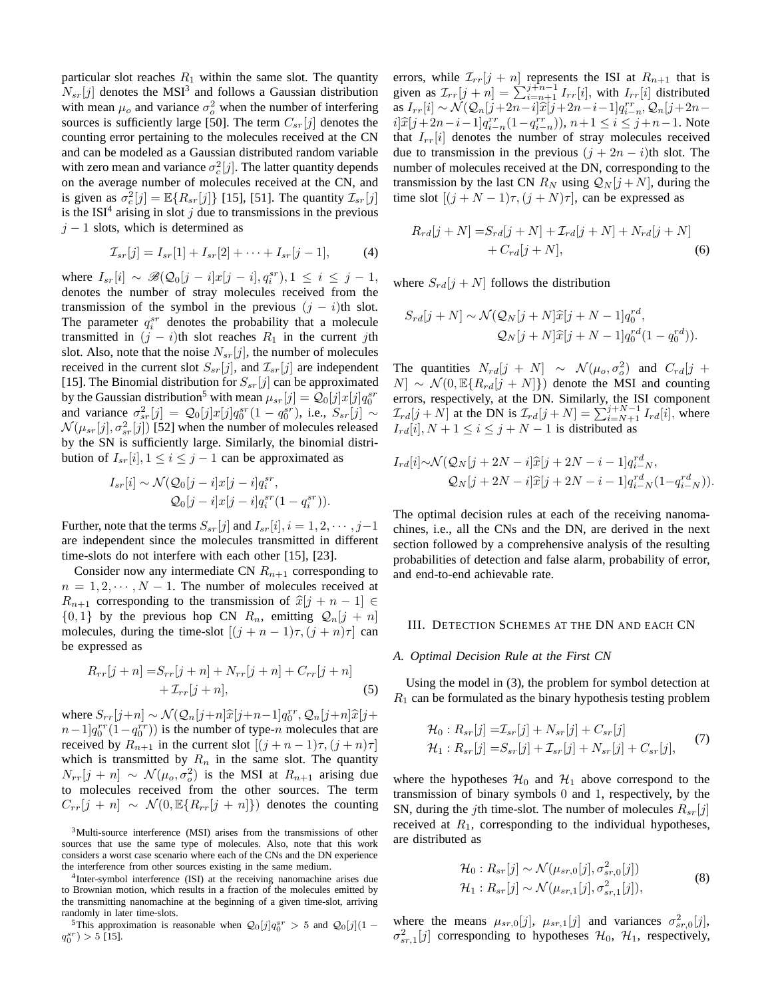particular slot reaches  $R_1$  within the same slot. The quantity  $N_{sr}[j]$  denotes the MSI<sup>3</sup> and follows a Gaussian distribution with mean  $\mu_o$  and variance  $\sigma_o^2$  when the number of interfering sources is sufficiently large [50]. The term  $C_{sr}[j]$  denotes the counting error pertaining to the molecules received at the CN and can be modeled as a Gaussian distributed random variable with zero mean and variance  $\sigma_c^2[j]$ . The latter quantity depends on the average number of molecules received at the CN, and is given as  $\sigma_c^2[j] = \mathbb{E}\{R_{sr}[j]\}$  [15], [51]. The quantity  $\mathcal{I}_{sr}[j]$ is the ISI<sup>4</sup> arising in slot  $j$  due to transmissions in the previous  $j - 1$  slots, which is determined as

$$
\mathcal{I}_{sr}[j] = I_{sr}[1] + I_{sr}[2] + \cdots + I_{sr}[j-1],
$$
 (4)

where  $I_{sr}[i] \sim \mathcal{B}(\mathcal{Q}_0[j-i]x[j-i], q_i^{sr}), 1 \leq i \leq j-1$ , denotes the number of stray molecules received from the transmission of the symbol in the previous  $(j - i)$ th slot. The parameter  $q_i^{sr}$  denotes the probability that a molecule transmitted in  $(j - i)$ th slot reaches  $R_1$  in the current jth slot. Also, note that the noise  $N_{sr}[j]$ , the number of molecules received in the current slot  $S_{sr}[j]$ , and  $\mathcal{I}_{sr}[j]$  are independent [15]. The Binomial distribution for  $S_{sr}[j]$  can be approximated by the Gaussian distribution<sup>5</sup> with mean  $\mu_{sr}[j] = Q_0[j]x[j]q_0^{sr}$ and variance  $\sigma_{sr}^2[j] = \mathcal{Q}_0[j]x[j]q_0^{sr}(1-q_0^{sr})$ , i.e.,  $S_{sr}[j] \sim$  $\mathcal{N}(\mu_{sr}[j], \sigma_{sr}^2[j])$  [52] when the number of molecules released by the SN is sufficiently large. Similarly, the binomial distribution of  $I_{sr}[i], 1 \le i \le j-1$  can be approximated as

$$
I_{sr}[i] \sim \mathcal{N}(\mathcal{Q}_0[j-i]x[j-i]q_i^{sr},
$$
  

$$
\mathcal{Q}_0[j-i]x[j-i]q_i^{sr}(1-q_i^{sr})).
$$

Further, note that the terms  $S_{sr}[j]$  and  $I_{sr}[i], i = 1, 2, \dots, j-1$ are independent since the molecules transmitted in different time-slots do not interfere with each other [15], [23].

Consider now any intermediate CN  $R_{n+1}$  corresponding to  $n = 1, 2, \dots, N - 1$ . The number of molecules received at  $R_{n+1}$  corresponding to the transmission of  $\hat{x}[j + n - 1] \in$  $\{0, 1\}$  by the previous hop CN  $R_n$ , emitting  $\mathcal{Q}_n[j + n]$ molecules, during the time-slot  $[(j + n - 1)\tau, (j + n)\tau]$  can be expressed as

$$
R_{rr}[j+n] = S_{rr}[j+n] + N_{rr}[j+n] + C_{rr}[j+n] + \mathcal{I}_{rr}[j+n]
$$
  
+  $\mathcal{I}_{rr}[j+n]$ , (5)

where  $S_{rr}[j+n] \sim \mathcal{N}(\mathcal{Q}_n[j+n]\hat{x}[j+n-1]q_0^{rr}, \mathcal{Q}_n[j+n]\hat{x}[j+n]$  $n-1]q_0^{rr}(1-q_0^{rr})$  is the number of type-n molecules that are received by  $R_{n+1}$  in the current slot  $[(j + n - 1)\tau, (j + n)\tau]$ which is transmitted by  $R_n$  in the same slot. The quantity  $N_{rr}[j + n] \sim \mathcal{N}(\mu_o, \sigma_o^2)$  is the MSI at  $R_{n+1}$  arising due to molecules received from the other sources. The term  $C_{rr}[j + n] \sim \mathcal{N}(0, \mathbb{E}\{R_{rr}[j + n]\})$  denotes the counting

<sup>3</sup>Multi-source interference (MSI) arises from the transmissions of other sources that use the same type of molecules. Also, note that this work considers a worst case scenario where each of the CNs and the DN experience the interference from other sources existing in the same medium.

4 Inter-symbol interference (ISI) at the receiving nanomachine arises due to Brownian motion, which results in a fraction of the molecules emitted by the transmitting nanomachine at the beginning of a given time-slot, arriving randomly in later time-slots.

<sup>5</sup>This approximation is reasonable when  $Q_0[j]q_0^{sr} > 5$  and  $Q_0[j](1$  $q_0^{sr}$ ) > 5 [15].

errors, while  $\mathcal{I}_{rr}[j + n]$  represents the ISI at  $R_{n+1}$  that is given as  $\mathcal{I}_{rr}[j+n] = \sum_{i=n+1}^{j+n-1} I_{rr}[i]$ , with  $I_{rr}[i]$  distributed as  $I_{rr}[i] \sim \mathcal{N}(\mathcal{Q}_n[j+2n-i]\hat{x}[j+2n-i-1]q_i^{rr}, \mathcal{Q}_n[j+2n-i-1]\hat{x}[j+2n-1]$  $i[\hat{x}[j+2n-i-1]q_{i-n}^{rr}(1-q_{i-n}^{rr}), n+1 \le i \le j+n-1$ . Note that  $I_{rr}[i]$  denotes the number of stray molecules received due to transmission in the previous  $(j + 2n - i)$ th slot. The number of molecules received at the DN, corresponding to the transmission by the last CN  $R_N$  using  $Q_N[j+N]$ , during the time slot  $[(j+N-1)\tau, (j+N)\tau]$ , can be expressed as

$$
R_{rd}[j+N] = S_{rd}[j+N] + \mathcal{I}_{rd}[j+N] + N_{rd}[j+N]
$$

$$
+ C_{rd}[j+N],
$$
 (6)

where  $S_{rd}[j+N]$  follows the distribution

$$
S_{rd}[j+N] \sim \mathcal{N}(\mathcal{Q}_N[j+N]\widehat{x}[j+N-1]q_0^{rd},
$$
  

$$
\mathcal{Q}_N[j+N]\widehat{x}[j+N-1]q_0^{rd}(1-q_0^{rd})).
$$

The quantities  $N_{rd}[j + N] \sim \mathcal{N}(\mu_o, \sigma_o^2)$  and  $C_{rd}[j +$  $[N] \sim \mathcal{N}(0, \mathbb{E}\{R_{rd}[j+N]\})$  denote the MSI and counting errors, respectively, at the DN. Similarly, the ISI component  $\mathcal{I}_{rd}[j+N]$  at the DN is  $\mathcal{I}_{rd}[j+N] = \sum_{i=N+1}^{j+N-1} I_{rd}[i]$ , where  $I_{rd}[i], N+1 \le i \le j+N-1$  is distributed as

$$
I_{rd}[i] \sim \mathcal{N}(\mathcal{Q}_N[j+2N-i]\hat{x}[j+2N-i-1]q_{i-N}^{rd},
$$
  

$$
\mathcal{Q}_N[j+2N-i]\hat{x}[j+2N-i-1]q_{i-N}^{rd}(1-q_{i-N}^{rd})).
$$

The optimal decision rules at each of the receiving nanomachines, i.e., all the CNs and the DN, are derived in the next section followed by a comprehensive analysis of the resulting probabilities of detection and false alarm, probability of error, and end-to-end achievable rate.

### III. DETECTION SCHEMES AT THE DN AND EACH CN

### *A. Optimal Decision Rule at the First CN*

Using the model in (3), the problem for symbol detection at  $R_1$  can be formulated as the binary hypothesis testing problem

$$
\mathcal{H}_0: R_{sr}[j] = \mathcal{I}_{sr}[j] + N_{sr}[j] + C_{sr}[j] \n\mathcal{H}_1: R_{sr}[j] = S_{sr}[j] + \mathcal{I}_{sr}[j] + N_{sr}[j] + C_{sr}[j],
$$
\n(7)

where the hypotheses  $\mathcal{H}_0$  and  $\mathcal{H}_1$  above correspond to the transmission of binary symbols 0 and 1, respectively, by the SN, during the *j*th time-slot. The number of molecules  $R_{sr}[j]$ received at  $R_1$ , corresponding to the individual hypotheses, are distributed as

$$
\mathcal{H}_0: R_{sr}[j] \sim \mathcal{N}(\mu_{sr,0}[j], \sigma_{sr,0}^2[j]) \mathcal{H}_1: R_{sr}[j] \sim \mathcal{N}(\mu_{sr,1}[j], \sigma_{sr,1}^2[j]),
$$
\n(8)

where the means  $\mu_{sr,0}[j]$ ,  $\mu_{sr,1}[j]$  and variances  $\sigma_{sr,0}^2[j]$ ,  $\sigma_{sr,1}^2[j]$  corresponding to hypotheses  $\mathcal{H}_0$ ,  $\mathcal{H}_1$ , respectively,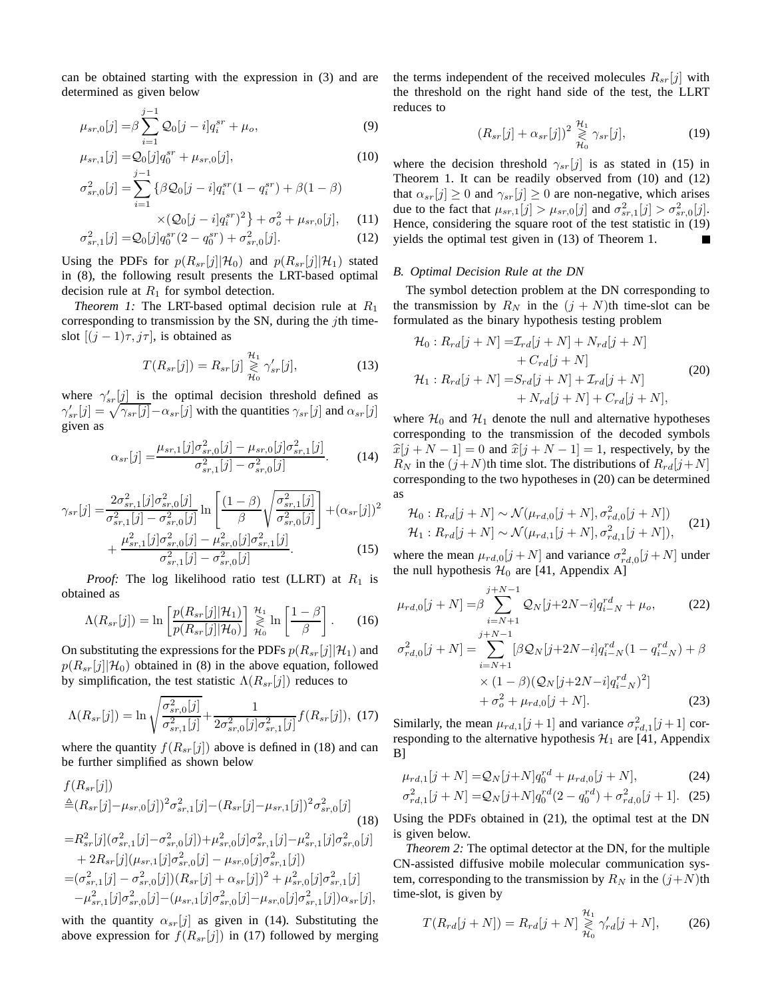can be obtained starting with the expression in (3) and are determined as given below

$$
\mu_{sr,0}[j] = \beta \sum_{i=1}^{j-1} \mathcal{Q}_0[j-i]q_i^{sr} + \mu_o,
$$
\n(9)

$$
\mu_{sr,1}[j] = Q_0[j]q_0^{sr} + \mu_{sr,0}[j],\tag{10}
$$

$$
\sigma_{sr,0}^2[j] = \sum_{i=1} \{ \beta \mathcal{Q}_0[j-i] q_i^{sr} (1 - q_i^{sr}) + \beta (1 - \beta) \times (\mathcal{Q}_0[j-i] q_i^{sr})^2 \} + \sigma_o^2 + \mu_{sr,0}[j], \quad (11)
$$

$$
\sigma_{sr,1}^2[j] = Q_0[j]q_0^{sr}(2 - q_0^{sr}) + \sigma_{sr,0}^2[j].
$$
\n(12)

Using the PDFs for  $p(R_{sr}[j]|\mathcal{H}_0)$  and  $p(R_{sr}[j]|\mathcal{H}_1)$  stated in (8), the following result presents the LRT-based optimal decision rule at  $R_1$  for symbol detection.

*Theorem 1:* The LRT-based optimal decision rule at  $R_1$ corresponding to transmission by the SN, during the  $j$ th timeslot  $[(j - 1)\tau, j\tau]$ , is obtained as

$$
T(R_{sr}[j]) = R_{sr}[j] \underset{\mathcal{H}_0}{\overset{\mathcal{H}_1}{\gtrless}} \gamma'_{sr}[j], \tag{13}
$$

where  $\gamma'_{sr}[j]$  is the optimal decision threshold defined as  $\gamma'_{sr}[j] = \sqrt{\gamma_{sr}[j]} - \alpha_{sr}[j]$  with the quantities  $\gamma_{sr}[j]$  and  $\alpha_{sr}[j]$ given as

$$
\alpha_{sr}[j] = \frac{\mu_{sr,1}[j]\sigma_{sr,0}^2[j] - \mu_{sr,0}[j]\sigma_{sr,1}^2[j]}{\sigma_{sr,1}^2[j] - \sigma_{sr,0}^2[j]}.
$$
 (14)

$$
\gamma_{sr}[j] = \frac{2\sigma_{sr,1}^2[j]\sigma_{sr,0}^2[j]}{\sigma_{sr,1}^2[j] - \sigma_{sr,0}^2[j]} \ln\left[\frac{(1-\beta)}{\beta}\sqrt{\frac{\sigma_{sr,1}^2[j]}{\sigma_{sr,0}^2[j]}}\right] + (\alpha_{sr}[j])^2 + \frac{\mu_{sr,1}^2[j]\sigma_{sr,0}^2[j] - \mu_{sr,0}^2[j]\sigma_{sr,1}^2[j]}{\sigma_{sr,1}^2[j] - \sigma_{sr,0}^2[j]}.
$$
\n(15)

*Proof:* The log likelihood ratio test (LLRT) at  $R_1$  is obtained as

$$
\Lambda(R_{sr}[j]) = \ln\left[\frac{p(R_{sr}[j]|\mathcal{H}_1)}{p(R_{sr}[j]|\mathcal{H}_0)}\right] \underset{\mathcal{H}_0}{\overset{\mathcal{H}_1}{\geq}} \ln\left[\frac{1-\beta}{\beta}\right].\tag{16}
$$

On substituting the expressions for the PDFs  $p(R_{sr}[j]|\mathcal{H}_1)$  and  $p(R_{sr}[j]|\mathcal{H}_0)$  obtained in (8) in the above equation, followed by simplification, the test statistic  $\Lambda(R_{sr}[j])$  reduces to

$$
\Lambda(R_{sr}[j]) = \ln \sqrt{\frac{\sigma_{sr,0}^2[j]}{\sigma_{sr,1}^2[j]}} + \frac{1}{2\sigma_{sr,0}^2[j]\sigma_{sr,1}^2[j]}f(R_{sr}[j]), \tag{17}
$$

where the quantity  $f(R_{sr}[j])$  above is defined in (18) and can be further simplified as shown below

$$
f(R_{sr}[j])
$$
  
\n
$$
\stackrel{\triangle}{=} (R_{sr}[j] - \mu_{sr,0}[j])^2 \sigma_{sr,1}^2[j] - (R_{sr}[j] - \mu_{sr,1}[j])^2 \sigma_{sr,0}^2[j]
$$
\n
$$
= R_{sr}^2[j] (\sigma_{sr,1}^2[j] - \sigma_{sr,0}^2[j]) + \mu_{sr,0}^2[j] \sigma_{sr,1}^2[j] - \mu_{sr,1}^2[j] \sigma_{sr,0}^2[j]
$$
\n
$$
+ 2R_{sr}[j] (\mu_{sr,1}[j] \sigma_{sr,0}^2[j] - \mu_{sr,0}[j] \sigma_{sr,1}^2[j])
$$
\n
$$
- (\sigma^2 - [j] - \sigma^2 - [j])(R - [j] + \sigma_{sr,0}[j])^2 + \mu^2 - [j] \sigma^2 - [j] \sigma_{sr,1}^2[j] \sigma_{sr,1}^2[j]
$$

$$
= (\sigma_{sr,1}^2[j] - \sigma_{sr,0}^2[j])(R_{sr}[j] + \alpha_{sr}[j])^2 + \mu_{sr,0}^2[j]\sigma_{sr,1}^2[j] - \mu_{sr,1}^2[j]\sigma_{sr,0}^2[j] - (\mu_{sr,1}[j]\sigma_{sr,0}^2[j] - \mu_{sr,0}[j]\sigma_{sr,1}^2[j])\alpha_{sr}[j],
$$

with the quantity  $\alpha_{sr}[j]$  as given in (14). Substituting the above expression for  $f(R_{sr}[j])$  in (17) followed by merging the terms independent of the received molecules  $R_{sr}[j]$  with the threshold on the right hand side of the test, the LLRT reduces to

$$
(R_{sr}[j] + \alpha_{sr}[j])^2 \overset{\mathcal{H}_1}{\underset{\mathcal{H}_0}{\gtrless}} \gamma_{sr}[j], \tag{19}
$$

where the decision threshold  $\gamma_{sr}[j]$  is as stated in (15) in Theorem 1. It can be readily observed from (10) and (12) that  $\alpha_{sr}[j] \ge 0$  and  $\gamma_{sr}[j] \ge 0$  are non-negative, which arises due to the fact that  $\mu_{sr,1}[j] > \mu_{sr,0}[j]$  and  $\sigma_{sr,1}^2[j] > \sigma_{sr,0}^2[j]$ . Hence, considering the square root of the test statistic in (19) yields the optimal test given in (13) of Theorem 1.

#### *B. Optimal Decision Rule at the DN*

The symbol detection problem at the DN corresponding to the transmission by  $R_N$  in the  $(j + N)$ th time-slot can be formulated as the binary hypothesis testing problem

$$
\mathcal{H}_0: R_{rd}[j+N] = \mathcal{I}_{rd}[j+N] + N_{rd}[j+N] \n+ C_{rd}[j+N] \n\mathcal{H}_1: R_{rd}[j+N] = S_{rd}[j+N] + \mathcal{I}_{rd}[j+N] \n+ N_{rd}[j+N] + C_{rd}[j+N],
$$
\n(20)

where  $\mathcal{H}_0$  and  $\mathcal{H}_1$  denote the null and alternative hypotheses corresponding to the transmission of the decoded symbols  $\hat{x}[j + N - 1] = 0$  and  $\hat{x}[j + N - 1] = 1$ , respectively, by the  $R_N$  in the  $(j+N)$ th time slot. The distributions of  $R_{rd}[j+N]$ corresponding to the two hypotheses in (20) can be determined as

$$
\mathcal{H}_0: R_{rd}[j+N] \sim \mathcal{N}(\mu_{rd,0}[j+N], \sigma_{rd,0}^2[j+N]) \mathcal{H}_1: R_{rd}[j+N] \sim \mathcal{N}(\mu_{rd,1}[j+N], \sigma_{rd,1}^2[j+N]),
$$
\n(21)

where the mean  $\mu_{rd,0}[j+N]$  and variance  $\sigma_{rd,0}^2[j+N]$  under the null hypothesis  $\mathcal{H}_0$  are [41, Appendix A]

$$
\mu_{rd,0}[j+N] = \beta \sum_{i=N+1}^{j+N-1} \mathcal{Q}_N[j+2N-i]q_{i-N}^{rd} + \mu_o,
$$
\n(22)

$$
\sigma_{rd,0}^2[j+N] = \sum_{i=N+1}^{N+1} [\beta Q_N[j+2N-i]q_{i-N}^{rd}(1-q_{i-N}^{rd}) + \beta
$$
  
× (1 - \beta)(Q\_N[j+2N-i]q\_{i-N}^{rd})<sup>2</sup>]  
+ \sigma\_o^2 + \mu\_{rd,0}[j+N]. \t(23)

Similarly, the mean  $\mu_{rd,1}[j+1]$  and variance  $\sigma_{rd,1}^2[j+1]$  corresponding to the alternative hypothesis  $\mathcal{H}_1$  are [41, Appendix B]

$$
\mu_{rd,1}[j+N] = Q_N[j+N]q_0^{rd} + \mu_{rd,0}[j+N],\tag{24}
$$
\n
$$
\sigma^2 \quad [i+N] = Q_N[i+N]q_0^{rd}(2-q_0^{rd}) + \sigma^2 \quad [i+1] \tag{25}
$$

$$
\sigma_{rd,1}^2[j+N] = Q_N[j+N]q_0^{rd}(2-q_0^{rd}) + \sigma_{rd,0}^2[j+1].
$$
 (25)

Using the PDFs obtained in (21), the optimal test at the DN is given below.

*Theorem 2:* The optimal detector at the DN, for the multiple CN-assisted diffusive mobile molecular communication system, corresponding to the transmission by  $R_N$  in the  $(j+N)$ th time-slot, is given by

$$
T(R_{rd}[j+N]) = R_{rd}[j+N] \underset{\mathcal{H}_0}{\geq} \gamma'_{rd}[j+N], \quad (26)
$$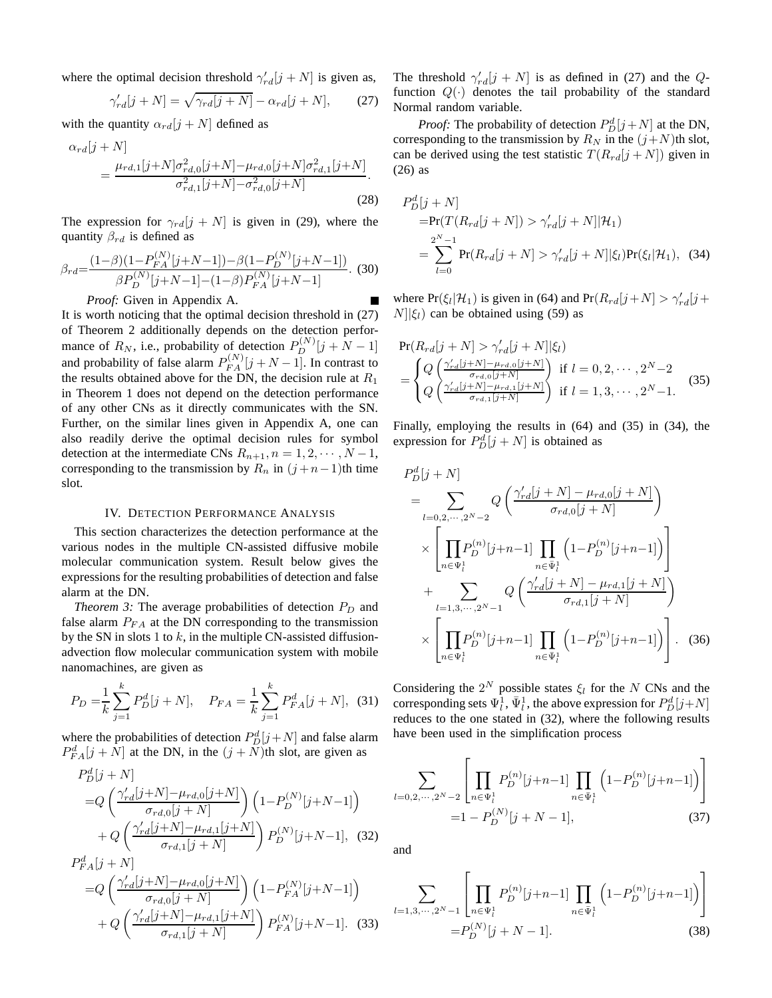where the optimal decision threshold  $\gamma'_{rd}[j + N]$  is given as,

$$
\gamma'_{rd}[j+N] = \sqrt{\gamma_{rd}[j+N]} - \alpha_{rd}[j+N],\tag{27}
$$

with the quantity  $\alpha_{rd}[j+N]$  defined as

$$
\alpha_{rd}[j+N] = \frac{\mu_{rd,1}[j+N]\sigma_{rd,0}^2[j+N] - \mu_{rd,0}[j+N]\sigma_{rd,1}^2[j+N]}{\sigma_{rd,1}^2[j+N] - \sigma_{rd,0}^2[j+N]}.
$$
\n(28)

The expression for  $\gamma_{rd}[j + N]$  is given in (29), where the quantity  $\beta_{rd}$  is defined as

$$
\beta_{rd} = \frac{(1-\beta)(1-P_{FA}^{(N)}[j+N-1]) - \beta(1-P_D^{(N)}[j+N-1])}{\beta P_D^{(N)}[j+N-1] - (1-\beta)P_{FA}^{(N)}[j+N-1]}.
$$
 (30)

*Proof:* Given in Appendix A.

It is worth noticing that the optimal decision threshold in (27) of Theorem 2 additionally depends on the detection performance of  $R_N$ , i.e., probability of detection  $P_D^{(N)}[j + N - 1]$ and probability of false alarm  $P_{FA}^{(N)}[j+N-1]$ . In contrast to the results obtained above for the DN, the decision rule at  $R_1$ in Theorem 1 does not depend on the detection performance of any other CNs as it directly communicates with the SN. Further, on the similar lines given in Appendix A, one can also readily derive the optimal decision rules for symbol detection at the intermediate CNs  $R_{n+1}$ ,  $n = 1, 2, \cdots, N-1$ , corresponding to the transmission by  $R_n$  in  $(j+n-1)$ th time slot.

### IV. DETECTION PERFORMANCE ANALYSIS

This section characterizes the detection performance at the various nodes in the multiple CN-assisted diffusive mobile molecular communication system. Result below gives the expressions for the resulting probabilities of detection and false alarm at the DN.

*Theorem 3:* The average probabilities of detection  $P_D$  and false alarm  $P_{FA}$  at the DN corresponding to the transmission by the SN in slots 1 to  $k$ , in the multiple CN-assisted diffusionadvection flow molecular communication system with mobile nanomachines, are given as

$$
P_D = \frac{1}{k} \sum_{j=1}^{k} P_D^d[j+N], \quad P_{FA} = \frac{1}{k} \sum_{j=1}^{k} P_{FA}^d[j+N], \tag{31}
$$

where the probabilities of detection  $P_D^d[j+N]$  and false alarm  $P_{FA}^d[j+N]$  at the DN, in the  $(j+N)$ th slot, are given as

$$
P_{D}^{d}[j+N] = Q\left(\frac{\gamma'_{rd}[j+N] - \mu_{rd,0}[j+N]}{\sigma_{rd,0}[j+N]}\right) \left(1 - P_{D}^{(N)}[j+N-1]\right) + Q\left(\frac{\gamma'_{rd}[j+N] - \mu_{rd,1}[j+N]}{\sigma_{rd,1}[j+N]}\right) P_{D}^{(N)}[j+N-1], (32) P_{FA}^{d}[j+N] = Q\left(\frac{\gamma'_{rd}[j+N] - \mu_{rd,0}[j+N]}{\sigma_{rd,0}[j+N]}\right) \left(1 - P_{FA}^{(N)}[j+N-1]\right) + Q\left(\frac{\gamma'_{rd}[j+N] - \mu_{rd,1}[j+N]}{\sigma_{rd,1}[j+N]}\right) P_{FA}^{(N)}[j+N-1]. (33)
$$

 $\sigma_{rd,1}[j+N]$ 

The threshold  $\gamma'_{rd}[j + N]$  is as defined in (27) and the  $Q$ function  $Q(\cdot)$  denotes the tail probability of the standard Normal random variable.

*Proof:* The probability of detection  $P_D^d[j+N]$  at the DN, corresponding to the transmission by  $R_N$  in the  $(j+N)$ th slot, can be derived using the test statistic  $T(R_{rd}[j+N])$  given in (26) as

$$
P_D^d[j+N] = \Pr(T(R_{rd}[j+N]) > \gamma_{rd}'[j+N] | \mathcal{H}_1)
$$
  
= 
$$
\sum_{l=0}^{2^N-1} \Pr(R_{rd}[j+N] > \gamma_{rd}'[j+N] | \xi_l) \Pr(\xi_l | \mathcal{H}_1), \quad (34)
$$

where  $Pr(\xi_l|\mathcal{H}_1)$  is given in (64) and  $Pr(R_{rd}[j+N] > \gamma'_{rd}[j+N])$  $N||\xi_l$ ) can be obtained using (59) as

$$
\Pr(R_{rd}[j+N] > \gamma'_{rd}[j+N] | \xi_l)
$$
\n
$$
= \begin{cases} Q\left(\frac{\gamma'_{rd}[j+N] - \mu_{rd,0}[j+N]}{\sigma_{rd,0}[j+N]}\right) & \text{if } l=0,2,\cdots,2^N-2\\ Q\left(\frac{\gamma'_{rd}[j+N] - \mu_{rd,1}[j+N]}{\sigma_{rd,1}[j+N]}\right) & \text{if } l=1,3,\cdots,2^N-1. \end{cases}
$$
\n(35)

Finally, employing the results in (64) and (35) in (34), the expression for  $P_D^d[j+N]$  is obtained as

$$
P_{D}^{d}[j+N]
$$
\n
$$
= \sum_{l=0,2,\dots,2^{N}-2} Q\left(\frac{\gamma'_{rd}[j+N] - \mu_{rd,0}[j+N]}{\sigma_{rd,0}[j+N]}\right)
$$
\n
$$
\times \left[\prod_{n\in\Psi_{l}^{1}} P_{D}^{(n)}[j+n-1] \prod_{n\in\Psi_{l}^{1}} \left(1 - P_{D}^{(n)}[j+n-1]\right)\right]
$$
\n
$$
+ \sum_{l=1,3,\dots,2^{N}-1} Q\left(\frac{\gamma'_{rd}[j+N] - \mu_{rd,1}[j+N]}{\sigma_{rd,1}[j+N]}\right)
$$
\n
$$
\times \left[\prod_{n\in\Psi_{l}^{1}} P_{D}^{(n)}[j+n-1] \prod_{n\in\Psi_{l}^{1}} \left(1 - P_{D}^{(n)}[j+n-1]\right)\right].
$$
\n(36)

Considering the  $2^N$  possible states  $\xi_l$  for the N CNs and the corresponding sets  $\Psi^{\hat{1}}_l$ ,  $\bar{\Psi}^1_l$ , the above expression for  $P^d_D[j+N]$ reduces to the one stated in (32), where the following results have been used in the simplification process

$$
\sum_{l=0,2,\dots,2^{N}-2} \left[ \prod_{n \in \Psi_{l}^{1}} P_{D}^{(n)}[j+n-1] \prod_{n \in \Psi_{l}^{1}} \left( 1 - P_{D}^{(n)}[j+n-1] \right) \right]
$$
  
=1 - P\_{D}^{(N)}[j+N-1], (37)

and

$$
\sum_{l=1,3,\cdots,2^{N}-1} \left[ \prod_{n \in \Psi_{l}^{1}} P_{D}^{(n)}[j+n-1] \prod_{n \in \bar{\Psi}_{l}^{1}} \left( 1 - P_{D}^{(n)}[j+n-1] \right) \right]
$$
  
=  $P_{D}^{(N)}[j+N-1].$  (38)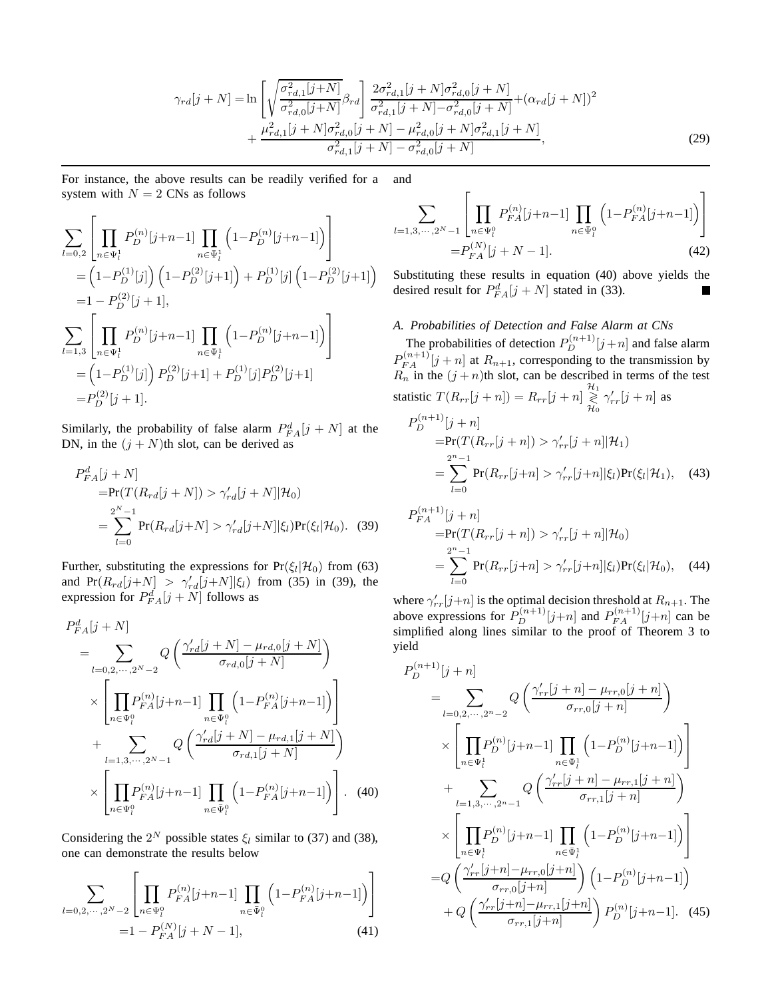$$
\gamma_{rd}[j+N] = \ln \left[ \sqrt{\frac{\sigma_{rd,1}^{2}[j+N]}{\sigma_{rd,0}^{2}[j+N]}} \beta_{rd} \right] \frac{2\sigma_{rd,1}^{2}[j+N]\sigma_{rd,0}^{2}[j+N]}{\sigma_{rd,1}^{2}[j+N] - \sigma_{rd,0}^{2}[j+N]} + (\alpha_{rd}[j+N])^{2} + \frac{\mu_{rd,1}^{2}[j+N]\sigma_{rd,0}^{2}[j+N] - \mu_{rd,0}^{2}[j+N]\sigma_{rd,1}^{2}[j+N]}{\sigma_{rd,1}^{2}[j+N] - \sigma_{rd,0}^{2}[j+N]},
$$
\n(29)

For instance, the above results can be readily verified for a system with  $N = 2$  CNs as follows and

$$
\sum_{l=0,2} \left[ \prod_{n \in \Psi_l^1} P_D^{(n)}[j+n-1] \prod_{n \in \bar{\Psi}_l^1} \left( 1 - P_D^{(n)}[j+n-1] \right) \right]
$$
  
\n
$$
= \left( 1 - P_D^{(1)}[j] \right) \left( 1 - P_D^{(2)}[j+1] \right) + P_D^{(1)}[j] \left( 1 - P_D^{(2)}[j+1] \right)
$$
  
\n
$$
= 1 - P_D^{(2)}[j+1],
$$
  
\n
$$
\sum_{l=1,3} \left[ \prod_{n \in \Psi_l^1} P_D^{(n)}[j+n-1] \prod_{n \in \bar{\Psi}_l^1} \left( 1 - P_D^{(n)}[j+n-1] \right) \right]
$$
  
\n
$$
= \left( 1 - P_D^{(1)}[j] \right) P_D^{(2)}[j+1] + P_D^{(1)}[j] P_D^{(2)}[j+1]
$$
  
\n
$$
= P_D^{(2)}[j+1].
$$

Similarly, the probability of false alarm  $P_{FA}^d[j+N]$  at the DN, in the  $(j + N)$ th slot, can be derived as

$$
P_{FA}^d[j+N] = \Pr(T(R_{rd}[j+N]) > \gamma_{rd}'[j+N] | \mathcal{H}_0)
$$
  
= 
$$
\sum_{l=0}^{2^N-1} \Pr(R_{rd}[j+N] > \gamma_{rd}'[j+N] | \xi_l) \Pr(\xi_l | \mathcal{H}_0).
$$
 (39)

Further, substituting the expressions for  $Pr(\xi_l|\mathcal{H}_0)$  from (63) and Pr $(R_{rd}[j+N] > \gamma'_{rd}[j+N] | \xi_l)$  from (35) in (39), the expression for  $P_{FA}^d[j+N]$  follows as

$$
P_{FA}^{d}[j+N] = \sum_{l=0,2,\dots,2^{N}-2} Q\left(\frac{\gamma'_{rd}[j+N] - \mu_{rd,0}[j+N]}{\sigma_{rd,0}[j+N]}\right)
$$
  
 
$$
\times \left[\prod_{n\in\Psi_{l}^{0}} P_{FA}^{(n)}[j+n-1] \prod_{n\in\Psi_{l}^{0}} \left(1 - P_{FA}^{(n)}[j+n-1]\right)\right]
$$
  
+ 
$$
\sum_{l=1,3,\dots,2^{N}-1} Q\left(\frac{\gamma'_{rd}[j+N] - \mu_{rd,1}[j+N]}{\sigma_{rd,1}[j+N]}\right)
$$
  
 
$$
\times \left[\prod_{n\in\Psi_{l}^{0}} P_{FA}^{(n)}[j+n-1] \prod_{n\in\Psi_{l}^{0}} \left(1 - P_{FA}^{(n)}[j+n-1]\right)\right]. \quad (40)
$$

Considering the  $2^N$  possible states  $\xi_l$  similar to (37) and (38), one can demonstrate the results below

 $\blacksquare$ 

 $\mathbf{r}$ 

$$
\sum_{l=0,2,\cdots,2^{N}-2} \left[ \prod_{n \in \Psi_{l}^{0}} P_{FA}^{(n)}[j+n-1] \prod_{n \in \bar{\Psi}_{l}^{0}} \left( 1 - P_{FA}^{(n)}[j+n-1] \right) \right]
$$
  
=1 - P\_{FA}^{(N)}[j+N-1], (41)

$$
\sum_{l=1,3,\cdots,2^{N}-1} \left[ \prod_{n\in\Psi_{l}^{0}} P_{FA}^{(n)}[j+n-1] \prod_{n\in\Psi_{l}^{0}} \left( 1 - P_{FA}^{(n)}[j+n-1] \right) \right]
$$
  
=  $P_{FA}^{(N)}[j+N-1].$  (42)

Substituting these results in equation (40) above yields the desired result for  $P_{FA}^d[j+N]$  stated in (33).  $\blacksquare$ 

### *A. Probabilities of Detection and False Alarm at CNs*

The probabilities of detection  $P_D^{(n+1)}[j+n]$  and false alarm  $P_{FA}^{(n+1)}[j+n]$  at  $R_{n+1}$ , corresponding to the transmission by  $R_n$  in the  $(j + n)$ th slot, can be described in terms of the test statistic  $T(R_{rr}[j+n]) = R_{rr}[j+n] \underset{\mathcal{H}_0}{\geq} \gamma_{rr}'[j+n]$  as  $P_D^{(n+1)}[j+n]$  $=Pr(T(R_{rr}[j+n]) > \gamma'_{rr}[j+n] | \mathcal{H}_1)$ =  $\sum_{ }^{n-1}$  $_{l=0}$  $Pr(R_{rr}[j+n] > \gamma'_{rr}[j+n] | \xi_l) Pr(\xi_l | \mathcal{H}_1),$  (43)  $(n+1)$ 

$$
P_{FA}^{(n+1)}[j+n]
$$
  
=Pr(T(R\_{rr}[j+n]) > \gamma'\_{rr}[j+n] | \mathcal{H}\_0)  
= 
$$
\sum_{l=0}^{2^n-1} Pr(R_{rr}[j+n] > \gamma'_{rr}[j+n] | \xi_l) Pr(\xi_l | \mathcal{H}_0), \quad (44)
$$

where  $\gamma'_{rr}[j+n]$  is the optimal decision threshold at  $R_{n+1}$ . The above expressions for  $P_D^{(n+1)}[j+n]$  and  $P_{FA}^{(n+1)}[j+n]$  can be simplified along lines similar to the proof of Theorem 3 to yield

$$
P_{D}^{(n+1)}[j+n]
$$
\n
$$
= \sum_{l=0,2,\cdots,2^{n}-2} Q\left(\frac{\gamma'_{rr}[j+n]-\mu_{rr,0}[j+n]}{\sigma_{rr,0}[j+n]}\right)
$$
\n
$$
\times \left[\prod_{n\in\Psi_{l}^{1}} P_{D}^{(n)}[j+n-1] \prod_{n\in\Psi_{l}^{1}} \left(1-P_{D}^{(n)}[j+n-1]\right)\right]
$$
\n
$$
+ \sum_{l=1,3,\cdots,2^{n}-1} Q\left(\frac{\gamma'_{rr}[j+n]-\mu_{rr,1}[j+n]}{\sigma_{rr,1}[j+n]}\right)
$$
\n
$$
\times \left[\prod_{n\in\Psi_{l}^{1}} P_{D}^{(n)}[j+n-1] \prod_{n\in\Psi_{l}^{1}} \left(1-P_{D}^{(n)}[j+n-1]\right)\right]
$$
\n
$$
= Q\left(\frac{\gamma'_{rr}[j+n]-\mu_{rr,0}[j+n]}{\sigma_{rr,0}[j+n]}\right) \left(1-P_{D}^{(n)}[j+n-1]\right)
$$
\n
$$
+ Q\left(\frac{\gamma'_{rr}[j+n]-\mu_{rr,1}[j+n]}{\sigma_{rr,1}[j+n]}\right) P_{D}^{(n)}[j+n-1]. \quad (45)
$$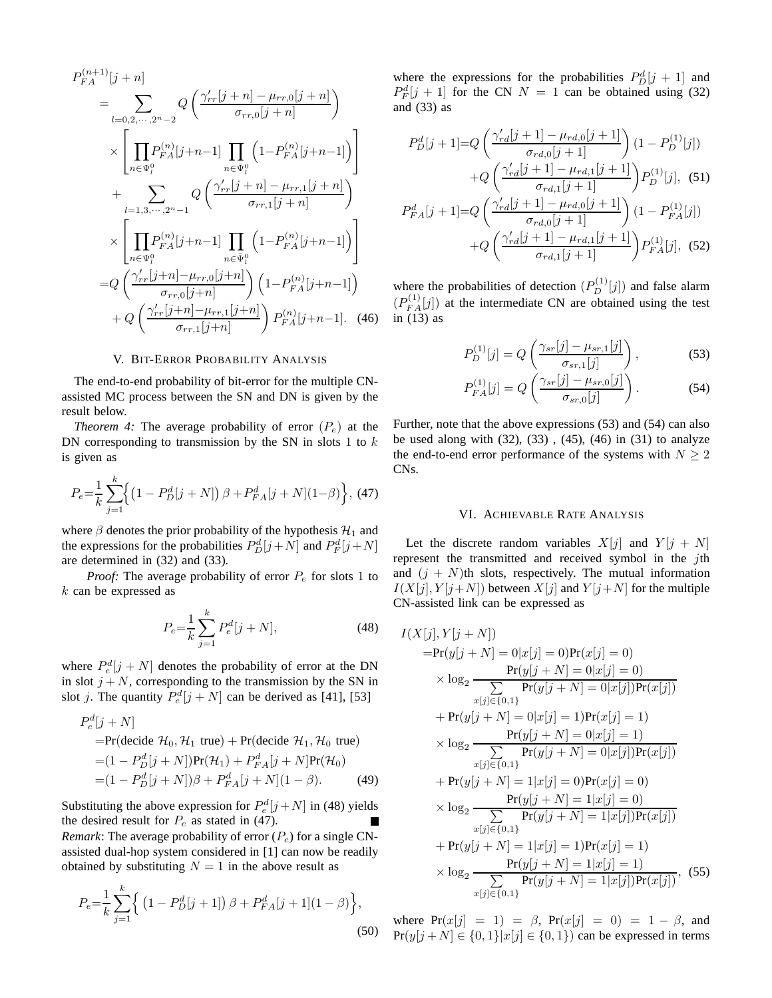$$
P_{FA}^{(n+1)}[j+n]
$$
\n
$$
= \sum_{l=0,2,\cdots,2^{n}-2} Q\left(\frac{\gamma'_{rr}[j+n]-\mu_{rr,0}[j+n]}{\sigma_{rr,0}[j+n]}\right)
$$
\n
$$
\times \left[\prod_{n\in\Psi_{l}^{0}} P_{FA}^{(n)}[j+n-1] \prod_{n\in\Psi_{l}^{0}} \left(1-P_{FA}^{(n)}[j+n-1]\right)\right]
$$
\n
$$
+ \sum_{l=1,3,\cdots,2^{n}-1} Q\left(\frac{\gamma'_{rr}[j+n]-\mu_{rr,1}[j+n]}{\sigma_{rr,1}[j+n]}\right)
$$
\n
$$
\times \left[\prod_{n\in\Psi_{l}^{0}} P_{FA}^{(n)}[j+n-1] \prod_{n\in\Psi_{l}^{0}} \left(1-P_{FA}^{(n)}[j+n-1]\right)\right]
$$
\n
$$
= Q\left(\frac{\gamma'_{rr}[j+n]-\mu_{rr,0}[j+n]}{\sigma_{rr,0}[j+n]}\right) \left(1-P_{FA}^{(n)}[j+n-1]\right)
$$
\n
$$
+ Q\left(\frac{\gamma'_{rr}[j+n]-\mu_{rr,1}[j+n]}{\sigma_{rr,1}[j+n]}\right) P_{FA}^{(n)}[j+n-1]. \quad (46)
$$

### V. BIT-ERROR PROBABILITY ANALYSIS

The end-to-end probability of bit-error for the multiple CNassisted MC process between the SN and DN is given by the result below.

*Theorem 4:* The average probability of error  $(P_e)$  at the DN corresponding to transmission by the SN in slots 1 to  $k$ is given as

$$
P_e = \frac{1}{k} \sum_{j=1}^{k} \Big\{ \left( 1 - P_D^d[j+N] \right) \beta + P_{FA}^d[j+N](1-\beta) \Big\}, \tag{47}
$$

where  $\beta$  denotes the prior probability of the hypothesis  $\mathcal{H}_1$  and the expressions for the probabilities  $P_D^d[j+N]$  and  $P_F^d[j+N]$ are determined in (32) and (33).

*Proof:* The average probability of error  $P_e$  for slots 1 to k can be expressed as

$$
P_e = \frac{1}{k} \sum_{j=1}^{k} P_e^d[j+N],
$$
\n(48)

where  $P_e^d[j+N]$  denotes the probability of error at the DN in slot  $j + N$ , corresponding to the transmission by the SN in slot *j*. The quantity  $P_e^d[j+N]$  can be derived as [41], [53]

$$
P_e^d[j + N]
$$
  
=Pr(decide  $\mathcal{H}_0, \mathcal{H}_1$  true) + Pr(decide  $\mathcal{H}_1, \mathcal{H}_0$  true)  
=  $(1 - P_D^d[j + N])\Pr(\mathcal{H}_1) + P_{FA}^d[j + N]\Pr(\mathcal{H}_0)$   
=  $(1 - P_D^d[j + N])\beta + P_{FA}^d[j + N](1 - \beta).$  (49)

Substituting the above expression for  $P_e^d[j+N]$  in (48) yields the desired result for  $P_e$  as stated in (47).

*Remark*: The average probability of error  $(P_e)$  for a single CNassisted dual-hop system considered in [1] can now be readily obtained by substituting  $N = 1$  in the above result as

$$
P_e = \frac{1}{k} \sum_{j=1}^{k} \left\{ \left( 1 - P_D^d[j+1] \right) \beta + P_{FA}^d[j+1](1-\beta) \right\},\tag{50}
$$

where the expressions for the probabilities  $P_D^d[j+1]$  and  $P_F^d[j+1]$  for the CN  $N = 1$  can be obtained using (32) and (33) as

$$
P_D^d[j+1] = Q\left(\frac{\gamma'_{rd}[j+1] - \mu_{rd,0}[j+1]}{\sigma_{rd,0}[j+1]}\right)(1 - P_D^{(1)}[j])
$$

$$
+ Q\left(\frac{\gamma'_{rd}[j+1] - \mu_{rd,1}[j+1]}{\sigma_{rd,1}[j+1]}\right)P_D^{(1)}[j], (51)
$$

$$
P_{FA}^d[j+1] = Q\left(\frac{\gamma'_{rd}[j+1] - \mu_{rd,0}[j+1]}{\sigma_{rd,0}[j+1]}\right)(1 - P_{FA}^{(1)}[j])
$$

$$
+ Q\left(\frac{\gamma'_{rd}[j+1] - \mu_{rd,1}[j+1]}{\sigma_{rd,1}[j+1]}\right)P_{FA}^{(1)}[j], (52)
$$

where the probabilities of detection  $(P_D^{(1)}[j])$  and false alarm  $(P_{FA}^{(1)}[j])$  at the intermediate CN are obtained using the test in (13) as

$$
P_D^{(1)}[j] = Q\left(\frac{\gamma_{sr}[j] - \mu_{sr,1}[j]}{\sigma_{sr,1}[j]}\right),\tag{53}
$$

$$
P_{FA}^{(1)}[j] = Q\left(\frac{\gamma_{sr}[j] - \mu_{sr,0}[j]}{\sigma_{sr,0}[j]}\right). \tag{54}
$$

Further, note that the above expressions (53) and (54) can also be used along with  $(32)$ ,  $(33)$ ,  $(45)$ ,  $(46)$  in  $(31)$  to analyze the end-to-end error performance of the systems with  $N \geq 2$ CNs.

#### VI. ACHIEVABLE RATE ANALYSIS

Let the discrete random variables  $X[j]$  and  $Y[j + N]$ represent the transmitted and received symbol in the jth and  $(j + N)$ th slots, respectively. The mutual information  $I(X[j], Y[j+N])$  between  $X[j]$  and  $Y[j+N]$  for the multiple CN-assisted link can be expressed as

$$
I(X[j], Y[j + N])
$$
  
\n=Pr(y[j + N] = 0|x[j] = 0)Pr(x[j] = 0)  
\n
$$
\times \log_2 \frac{Pr(y[j + N] = 0|x[j] = 0)}{\sum_{x[j] \in \{0,1\}} Pr(y[j + N] = 0|x[j])Pr(x[j])}
$$
  
\n+Pr(y[j + N] = 0|x[j] = 1)Pr(x[j] = 1)  
\n
$$
\times \log_2 \frac{Pr(y[j + N] = 0|x[j] = 1)}{\sum_{x[j] \in \{0,1\}} Pr(y[j + N] = 0|x[j])Pr(x[j])}
$$
  
\n+Pr(y[j + N] = 1|x[j] = 0)Pr(x[j] = 0)  
\n
$$
\times \log_2 \frac{Pr(y[j + N] = 1|x[j] = 0)}{\sum_{x[j] \in \{0,1\}} Pr(y[j + N] = 1|x[j])Pr(x[j])}
$$
  
\n+Pr(y[j + N] = 1|x[j] = 1)Pr(x[j] = 1)  
\n
$$
\times \log_2 \frac{Pr(y[j + N] = 1|x[j] = 1)}{\sum_{x[j] \in \{0,1\}} Pr(y[j + N] = 1|x[j])Pr(x[j])},
$$
(55)

(50)  $\Pr(y[j + N] \in \{0, 1\}|x[j] \in \{0, 1\})$  can be expressed in terms where  $Pr(x[j] = 1) = \beta$ ,  $Pr(x[j] = 0) = 1 - \beta$ , and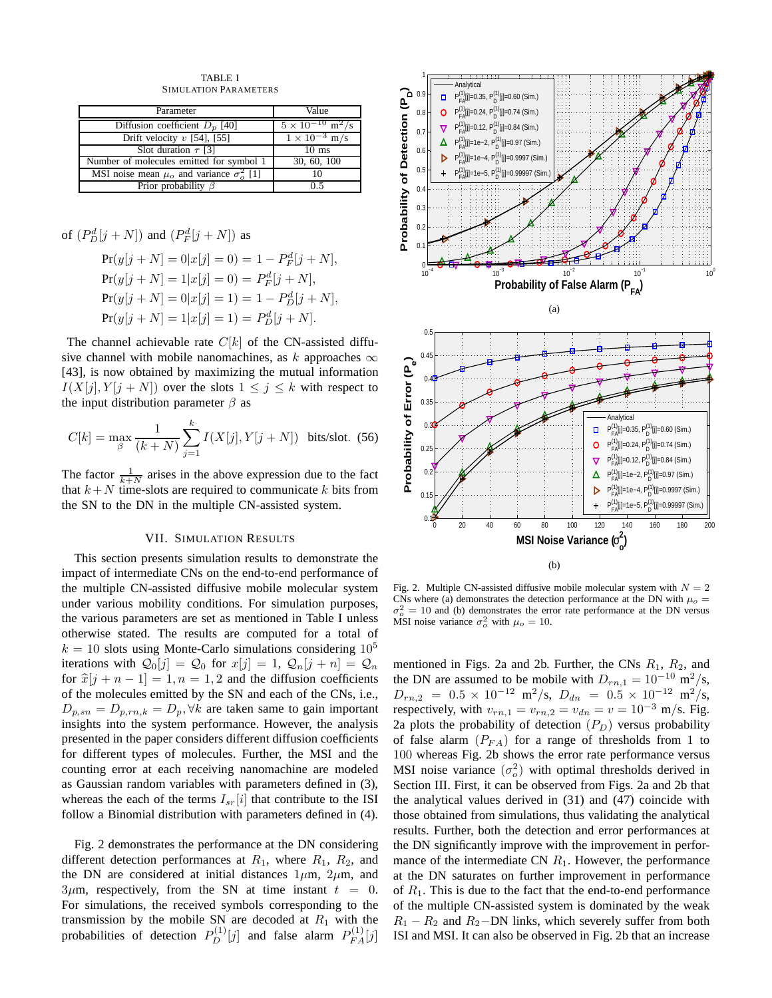TABLE I SIMULATION PARAMETERS

| Parameter                                            | Value                                 |
|------------------------------------------------------|---------------------------------------|
| Diffusion coefficient $D_p$ [40]                     | $5 \times 10^{-10}$ m <sup>2</sup> /s |
| Drift velocity $v$ [54], [55]                        | $1 \times 10^{-3}$ m/s                |
| Slot duration $\tau$ [3]                             | $10 \text{ ms}$                       |
| Number of molecules emitted for symbol 1             | 30, 60, 100                           |
| MSI noise mean $\mu_0$ and variance $\sigma_0^2$ [1] |                                       |
| Prior probability $\beta$                            | ი 5                                   |

of 
$$
(P_D^d[j+N])
$$
 and  $(P_F^d[j+N])$  as

 $Pr(y[j+N] = 0|x[j] = 0) = 1 - P_F^d[j+N],$  $Pr(y[j+N] = 1|x[j] = 0) = P_F^d[j+N],$  $Pr(y[j+N] = 0|x[j] = 1) = 1 - P_D^d[j+N],$  $Pr(y[j+N] = 1|x[j] = 1) = P_D^d[j+N].$ 

The channel achievable rate  $C[k]$  of the CN-assisted diffusive channel with mobile nanomachines, as  $k$  approaches  $\infty$ [43], is now obtained by maximizing the mutual information  $I(X[j], Y[j+N])$  over the slots  $1 \leq j \leq k$  with respect to the input distribution parameter  $\beta$  as

$$
C[k] = \max_{\beta} \frac{1}{(k+N)} \sum_{j=1}^{k} I(X[j], Y[j+N]) \text{ bits/slot. (56)}
$$

The factor  $\frac{1}{k+N}$  arises in the above expression due to the fact that  $k+N$  time-slots are required to communicate k bits from the SN to the DN in the multiple CN-assisted system.

### VII. SIMULATION RESULTS

This section presents simulation results to demonstrate the impact of intermediate CNs on the end-to-end performance of the multiple CN-assisted diffusive mobile molecular system under various mobility conditions. For simulation purposes, the various parameters are set as mentioned in Table I unless otherwise stated. The results are computed for a total of  $k = 10$  slots using Monte-Carlo simulations considering  $10<sup>5</sup>$ iterations with  $\mathcal{Q}_0[j] = \mathcal{Q}_0$  for  $x[j] = 1$ ,  $\mathcal{Q}_n[j + n] = \mathcal{Q}_n$ for  $\hat{x}[j + n - 1] = 1, n = 1, 2$  and the diffusion coefficients of the molecules emitted by the SN and each of the CNs, i.e.,  $D_{p,sn} = D_{p,rn,k} = D_p, \forall k$  are taken same to gain important insights into the system performance. However, the analysis presented in the paper considers different diffusion coefficients for different types of molecules. Further, the MSI and the counting error at each receiving nanomachine are modeled as Gaussian random variables with parameters defined in (3), whereas the each of the terms  $I_{sr}[i]$  that contribute to the ISI follow a Binomial distribution with parameters defined in (4).

Fig. 2 demonstrates the performance at the DN considering different detection performances at  $R_1$ , where  $R_1$ ,  $R_2$ , and the DN are considered at initial distances  $1\mu$ m,  $2\mu$ m, and  $3\mu$ m, respectively, from the SN at time instant  $t = 0$ . For simulations, the received symbols corresponding to the transmission by the mobile SN are decoded at  $R_1$  with the probabilities of detection  $P_D^{(1)}[j]$  and false alarm  $P_{FA}^{(1)}[j]$ 



Fig. 2. Multiple CN-assisted diffusive mobile molecular system with  $N = 2$ CNs where (a) demonstrates the detection performance at the DN with  $\mu_o =$  $\sigma_o^2 = 10$  and (b) demonstrates the error rate performance at the DN versus MSI noise variance  $\sigma_o^2$  with  $\mu_o = 10$ .

mentioned in Figs. 2a and 2b. Further, the CNs  $R_1$ ,  $R_2$ , and the DN are assumed to be mobile with  $D_{rn,1} = 10^{-10}$  m<sup>2</sup>/s,  $D_{rn,2}$  = 0.5 × 10<sup>-12</sup> m<sup>2</sup>/s,  $D_{dn}$  = 0.5 × 10<sup>-12</sup> m<sup>2</sup>/s, respectively, with  $v_{rn,1} = v_{rn,2} = v_{dn} = v = 10^{-3}$  m/s. Fig. 2a plots the probability of detection  $(P_D)$  versus probability of false alarm  $(P_{FA})$  for a range of thresholds from 1 to 100 whereas Fig. 2b shows the error rate performance versus MSI noise variance  $(\sigma_o^2)$  with optimal thresholds derived in Section III. First, it can be observed from Figs. 2a and 2b that the analytical values derived in (31) and (47) coincide with those obtained from simulations, thus validating the analytical results. Further, both the detection and error performances at the DN significantly improve with the improvement in performance of the intermediate CN  $R_1$ . However, the performance at the DN saturates on further improvement in performance of  $R_1$ . This is due to the fact that the end-to-end performance of the multiple CN-assisted system is dominated by the weak  $R_1 - R_2$  and  $R_2 - DN$  links, which severely suffer from both ISI and MSI. It can also be observed in Fig. 2b that an increase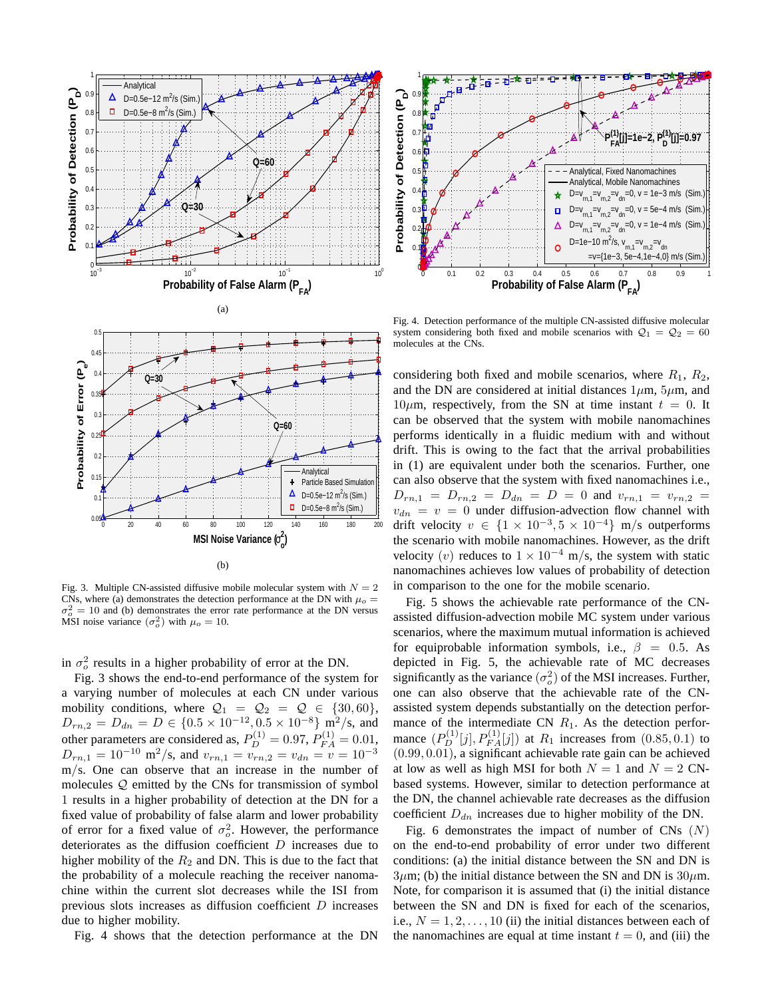

Fig. 3. Multiple CN-assisted diffusive mobile molecular system with  $N = 2$ CNs, where (a) demonstrates the detection performance at the DN with  $\mu_0 =$  $\sigma_o^2 = 10$  and (b) demonstrates the error rate performance at the DN versus MSI noise variance  $(\sigma_o^2)$  with  $\mu_o = 10$ .

in  $\sigma_o^2$  results in a higher probability of error at the DN.

Fig. 3 shows the end-to-end performance of the system for a varying number of molecules at each CN under various mobility conditions, where  $\mathcal{Q}_1 = \mathcal{Q}_2 = \mathcal{Q} \in \{30, 60\},\$  $D_{rn,2} = D_{dn} = D \in \{0.5 \times 10^{-12}, 0.5 \times 10^{-8}\}$  m<sup>2</sup>/s, and other parameters are considered as,  $P_D^{(1)} = 0.97$ ,  $P_{FA}^{(1)} = 0.01$ ,  $D_{rn,1} = 10^{-10} \text{ m}^2/\text{s}$ , and  $v_{rn,1} = v_{rn,2} = v_{dn} = v = 10^{-3}$ m/s. One can observe that an increase in the number of molecules Q emitted by the CNs for transmission of symbol 1 results in a higher probability of detection at the DN for a fixed value of probability of false alarm and lower probability of error for a fixed value of  $\sigma_o^2$ . However, the performance deteriorates as the diffusion coefficient  $D$  increases due to higher mobility of the  $R_2$  and DN. This is due to the fact that the probability of a molecule reaching the receiver nanomachine within the current slot decreases while the ISI from previous slots increases as diffusion coefficient D increases due to higher mobility.

Fig. 4 shows that the detection performance at the DN



Fig. 4. Detection performance of the multiple CN-assisted diffusive molecular system considering both fixed and mobile scenarios with  $Q_1 = Q_2 = 60$ molecules at the CNs.

considering both fixed and mobile scenarios, where  $R_1, R_2,$ and the DN are considered at initial distances  $1\mu$ m,  $5\mu$ m, and  $10\mu$ m, respectively, from the SN at time instant  $t = 0$ . It can be observed that the system with mobile nanomachines performs identically in a fluidic medium with and without drift. This is owing to the fact that the arrival probabilities in (1) are equivalent under both the scenarios. Further, one can also observe that the system with fixed nanomachines i.e.,  $D_{rn,1} = D_{rn,2} = D_{dn} = D = 0$  and  $v_{rn,1} = v_{rn,2} =$  $v_{dn} = v = 0$  under diffusion-advection flow channel with drift velocity  $v \in \{1 \times 10^{-3}, 5 \times 10^{-4}\}$  m/s outperforms the scenario with mobile nanomachines. However, as the drift velocity (v) reduces to  $1 \times 10^{-4}$  m/s, the system with static nanomachines achieves low values of probability of detection in comparison to the one for the mobile scenario.

Fig. 5 shows the achievable rate performance of the CNassisted diffusion-advection mobile MC system under various scenarios, where the maximum mutual information is achieved for equiprobable information symbols, i.e.,  $\beta = 0.5$ . As depicted in Fig. 5, the achievable rate of MC decreases significantly as the variance  $(\sigma_o^2)$  of the MSI increases. Further, one can also observe that the achievable rate of the CNassisted system depends substantially on the detection performance of the intermediate CN  $R_1$ . As the detection performance  $(P_D^{(1)}[j], P_{FA}^{(1)}[j])$  at  $R_1$  increases from  $(0.85, 0.1)$  to (0.99, 0.01), a significant achievable rate gain can be achieved at low as well as high MSI for both  $N = 1$  and  $N = 2$  CNbased systems. However, similar to detection performance at the DN, the channel achievable rate decreases as the diffusion coefficient  $D_{dn}$  increases due to higher mobility of the DN.

Fig. 6 demonstrates the impact of number of CNs  $(N)$ on the end-to-end probability of error under two different conditions: (a) the initial distance between the SN and DN is  $3\mu$ m; (b) the initial distance between the SN and DN is  $30\mu$ m. Note, for comparison it is assumed that (i) the initial distance between the SN and DN is fixed for each of the scenarios, i.e.,  $N = 1, 2, \ldots, 10$  (ii) the initial distances between each of the nanomachines are equal at time instant  $t = 0$ , and (iii) the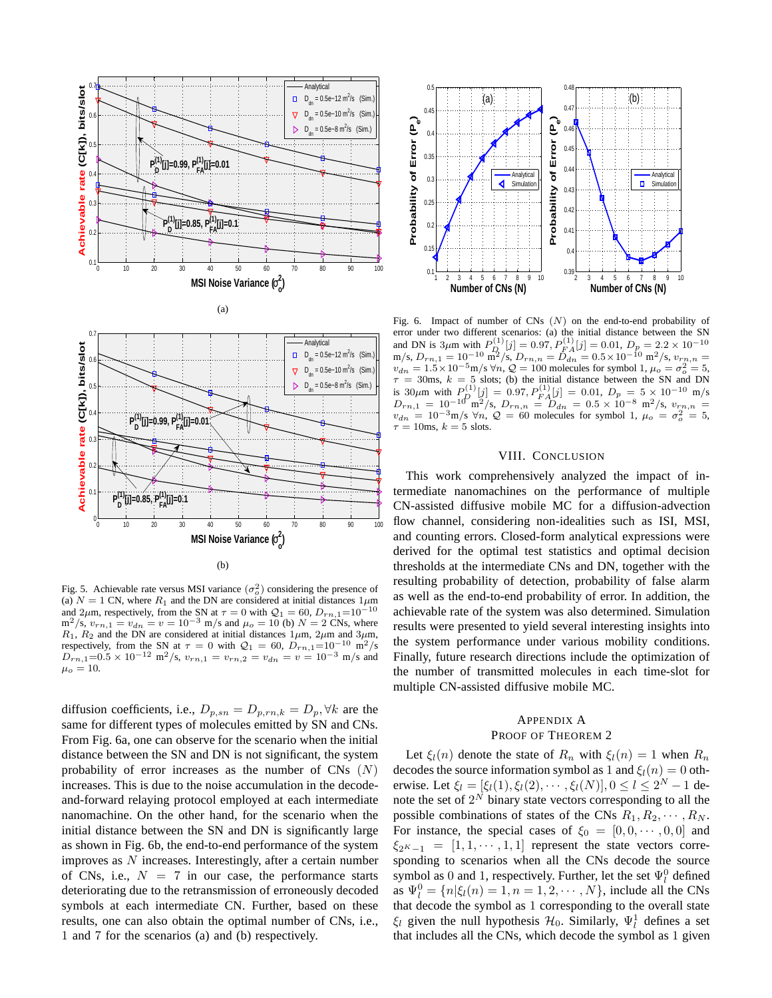

Fig. 5. Achievable rate versus MSI variance  $(\sigma_o^2)$  considering the presence of (a)  $N = 1$  CN, where  $R_1$  and the DN are considered at initial distances  $1\mu$ m and 2 $\mu$ m, respectively, from the SN at  $\tau = 0$  with  $\mathcal{Q}_1 = 60$ ,  $D_{rn,1} = 10^{-10}$ m<sup>2</sup>/s,  $v_{rn,1} = v_{dn} = v = 10^{-3}$  m/s and  $\mu_o = 10$  (b)  $N = 2$  CNs, where  $R_1$ ,  $R_2$  and the DN are considered at initial distances  $1\mu$ m,  $2\mu$ m and  $3\mu$ m, respectively, from the SN at  $\tau = 0$  with  $\mathcal{Q}_1 = 60$ ,  $D_{rn,1} = 10^{-10}$  m<sup>2</sup>/s  $D_{rn,1}=0.5 \times 10^{-12} \text{ m}^2/\text{s}, v_{rn,1} = v_{rn,2} = v_{dn} = v = 10^{-3} \text{ m/s}$  and  $\mu_o = 10$ .

diffusion coefficients, i.e.,  $D_{p,sn} = D_{p,rn,k} = D_p, \forall k$  are the same for different types of molecules emitted by SN and CNs. From Fig. 6a, one can observe for the scenario when the initial distance between the SN and DN is not significant, the system probability of error increases as the number of  $CNs(N)$ increases. This is due to the noise accumulation in the decodeand-forward relaying protocol employed at each intermediate nanomachine. On the other hand, for the scenario when the initial distance between the SN and DN is significantly large as shown in Fig. 6b, the end-to-end performance of the system improves as  $N$  increases. Interestingly, after a certain number of CNs, i.e.,  $N = 7$  in our case, the performance starts deteriorating due to the retransmission of erroneously decoded symbols at each intermediate CN. Further, based on these results, one can also obtain the optimal number of CNs, i.e., 1 and 7 for the scenarios (a) and (b) respectively.



Fig. 6. Impact of number of CNs  $(N)$  on the end-to-end probability of error under two different scenarios: (a) the initial distance between the SN and DN is 3 $\mu$ m with  $P_{D_1}^{(1)}[j] = 0.97, P_{FA}^{(1)}[j] = 0.01, D_p = 2.2 \times 10^{-10}$  $m/s$ ,  $D_{rn,1} = 10^{-10} \frac{L}{m^2/s} D_{rn,n} = D_{dn} = 0.5 \times 10^{-10} \frac{m^2}{s}$ ,  $v_{rn,n} =$  $v_{dn} = 1.5 \times 10^{-5} \text{m/s} \ \forall n, Q = 100 \text{ molecules for symbol } 1, \mu_o = \sigma_o^2 = 5,$  $\tau = 30$ ms,  $k = 5$  slots; (b) the initial distance between the SN and DN is 30 $\mu$ m with  $P_D^{(1)}[j] = 0.97, P_{FA}^{(1)}[j] = 0.01, D_p = 5 \times 10^{-10}$  m/s  $D_{rn,1} = 10^{-10} \text{ m}^2/\text{s}, D_{rn,n} = D_{dn} = 0.5 \times 10^{-8} \text{ m}^2/\text{s}, v_{rn,n} =$  $v_{dn} = 10^{-3}$  m/s  $\forall n, \mathcal{Q} = 60$  molecules for symbol 1,  $\mu_o = \sigma_o^2 = 5$ ,  $\tau = 10$ ms,  $k = 5$  slots.

### VIII. CONCLUSION

This work comprehensively analyzed the impact of intermediate nanomachines on the performance of multiple CN-assisted diffusive mobile MC for a diffusion-advection flow channel, considering non-idealities such as ISI, MSI, and counting errors. Closed-form analytical expressions were derived for the optimal test statistics and optimal decision thresholds at the intermediate CNs and DN, together with the resulting probability of detection, probability of false alarm as well as the end-to-end probability of error. In addition, the achievable rate of the system was also determined. Simulation results were presented to yield several interesting insights into the system performance under various mobility conditions. Finally, future research directions include the optimization of the number of transmitted molecules in each time-slot for multiple CN-assisted diffusive mobile MC.

### APPENDIX A PROOF OF THEOREM 2

Let  $\xi_l(n)$  denote the state of  $R_n$  with  $\xi_l(n) = 1$  when  $R_n$ decodes the source information symbol as 1 and  $\xi_l(n) = 0$  otherwise. Let  $\xi_l = [\xi_l(1), \xi_l(2), \cdots, \xi_l(N)]$ ,  $0 \le l \le 2^N - 1$  denote the set of  $2^N$  binary state vectors corresponding to all the possible combinations of states of the CNs  $R_1, R_2, \cdots, R_N$ . For instance, the special cases of  $\xi_0 = [0, 0, \dots, 0, 0]$  and  $\xi_{2^K-1} = [1, 1, \cdots, 1, 1]$  represent the state vectors corresponding to scenarios when all the CNs decode the source symbol as 0 and 1, respectively. Further, let the set  $\Psi_l^0$  defined as  $\Psi_l^0 = \{ n | \xi_l(n) = 1, n = 1, 2, \cdots, N \},$  include all the CNs that decode the symbol as 1 corresponding to the overall state  $\xi_l$  given the null hypothesis  $\mathcal{H}_0$ . Similarly,  $\Psi_l^1$  defines a set that includes all the CNs, which decode the symbol as 1 given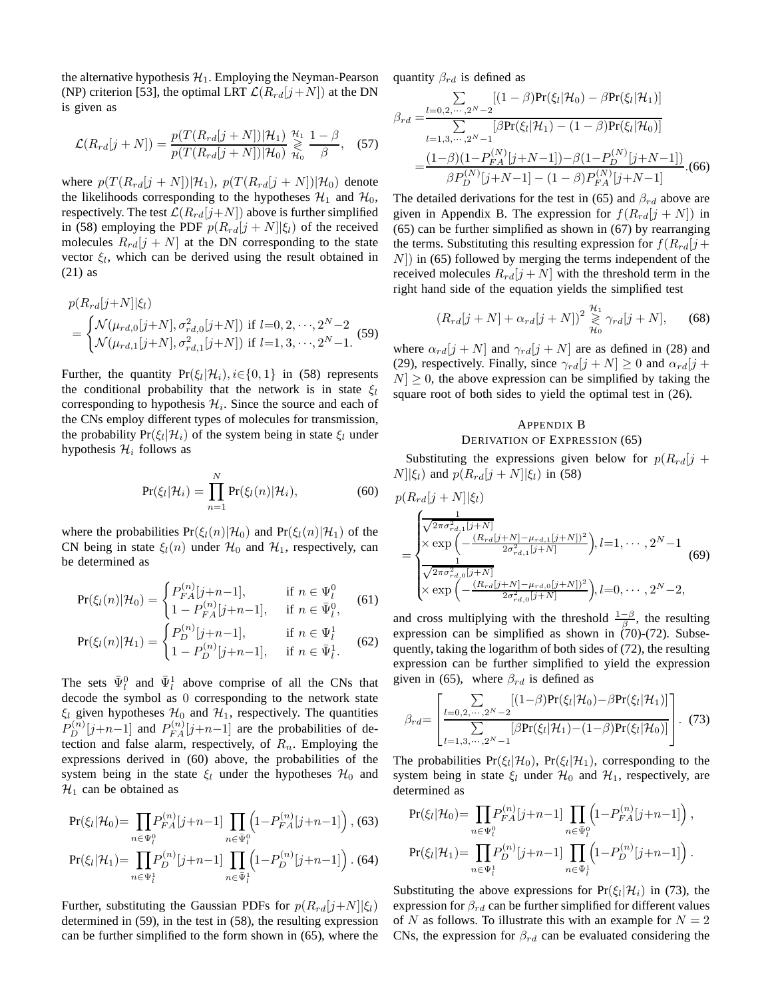the alternative hypothesis  $\mathcal{H}_1$ . Employing the Neyman-Pearson (NP) criterion [53], the optimal LRT  $\mathcal{L}(R_{rd}[j+N])$  at the DN is given as

$$
\mathcal{L}(R_{rd}[j+N]) = \frac{p(T(R_{rd}[j+N])|\mathcal{H}_1)}{p(T(R_{rd}[j+N])|\mathcal{H}_0)} \underset{\mathcal{H}_0}{\overset{\mathcal{H}_1}{\geq}} \frac{1-\beta}{\beta}, \quad (57)
$$

where  $p(T(R_{rd}[j + N]) | \mathcal{H}_1)$ ,  $p(T(R_{rd}[j + N]) | \mathcal{H}_0)$  denote the likelihoods corresponding to the hypotheses  $\mathcal{H}_1$  and  $\mathcal{H}_0$ , respectively. The test  $\mathcal{L}(R_{rd}[j+N])$  above is further simplified in (58) employing the PDF  $p(R_{rd}[j + N]|\xi_l)$  of the received molecules  $R_{rd}[j + N]$  at the DN corresponding to the state vector  $\xi_l$ , which can be derived using the result obtained in (21) as

$$
p(R_{rd}[j+N]|\xi_l)
$$
  
= 
$$
\begin{cases} \mathcal{N}(\mu_{rd,0}[j+N], \sigma_{rd,0}^2[j+N]) \text{ if } l=0,2,\cdots,2^N-2\\ \mathcal{N}(\mu_{rd,1}[j+N], \sigma_{rd,1}^2[j+N]) \text{ if } l=1,3,\cdots,2^N-1. \end{cases}
$$
(59)

Further, the quantity  $Pr(\xi_i|\mathcal{H}_i), i \in \{0, 1\}$  in (58) represents the conditional probability that the network is in state  $\xi_l$ corresponding to hypothesis  $\mathcal{H}_i$ . Since the source and each of the CNs employ different types of molecules for transmission, the probability  $Pr(\xi_l|\mathcal{H}_i)$  of the system being in state  $\xi_l$  under hypothesis  $\mathcal{H}_i$  follows as

$$
Pr(\xi_l|\mathcal{H}_i) = \prod_{n=1}^N Pr(\xi_l(n)|\mathcal{H}_i),
$$
\n(60)

where the probabilities  $Pr(\xi_l(n)|\mathcal{H}_0)$  and  $Pr(\xi_l(n)|\mathcal{H}_1)$  of the CN being in state  $\xi_l(n)$  under  $\mathcal{H}_0$  and  $\mathcal{H}_1$ , respectively, can be determined as

$$
Pr(\xi_l(n)|\mathcal{H}_0) = \begin{cases} P_{FA}^{(n)}[j+n-1], & \text{if } n \in \Psi_l^0\\ 1 - P_{FA}^{(n)}[j+n-1], & \text{if } n \in \bar{\Psi}_l^0, \end{cases}
$$
(61)

$$
Pr(\xi_l(n)|\mathcal{H}_1) = \begin{cases} P_D^{(n)}[j+n-1], & \text{if } n \in \Psi_l^1 \\ 1 - P_D^{(n)}[j+n-1], & \text{if } n \in \bar{\Psi}_l^1. \end{cases}
$$
(62)

The sets  $\bar{\Psi}_l^0$  and  $\bar{\Psi}_l^1$  above comprise of all the CNs that decode the symbol as 0 corresponding to the network state  $\xi_l$  given hypotheses  $\mathcal{H}_0$  and  $\mathcal{H}_1$ , respectively. The quantities  $P_D^{(n)}[j+n-1]$  and  $P_{FA}^{(n)}[j+n-1]$  are the probabilities of detection and false alarm, respectively, of  $R_n$ . Employing the expressions derived in (60) above, the probabilities of the system being in the state  $\xi_l$  under the hypotheses  $\mathcal{H}_0$  and  $\mathcal{H}_1$  can be obtained as

$$
\Pr(\xi_l|\mathcal{H}_0) = \prod_{n \in \Psi_l^0} P_{FA}^{(n)}[j+n-1] \prod_{n \in \bar{\Psi}_l^0} \left(1 - P_{FA}^{(n)}[j+n-1]\right),
$$
(63)

$$
\Pr(\xi_l|\mathcal{H}_1) = \prod_{n \in \Psi_l^1} P_D^{(n)}[j+n-1] \prod_{n \in \bar{\Psi}_l^1} \left(1 - P_D^{(n)}[j+n-1]\right).
$$
(64)

Further, substituting the Gaussian PDFs for  $p(R_{rd}[j+N]|\xi_l)$ determined in (59), in the test in (58), the resulting expression can be further simplified to the form shown in (65), where the quantity  $\beta_{rd}$  is defined as

$$
\beta_{rd} = \frac{\sum_{l=0,2,\dots,2^{N}-2} [(1-\beta)Pr(\xi_{l}|\mathcal{H}_{0}) - \beta Pr(\xi_{l}|\mathcal{H}_{1})]}{\sum_{l=1,3,\dots,2^{N}-1} [\beta Pr(\xi_{l}|\mathcal{H}_{1}) - (1-\beta)Pr(\xi_{l}|\mathcal{H}_{0})]}
$$

$$
= \frac{(1-\beta)(1-P_{FA}^{(N)}[j+N-1]) - \beta(1-P_{D}^{(N)}[j+N-1])}{\beta P_{D}^{(N)}[j+N-1] - (1-\beta)P_{FA}^{(N)}[j+N-1]}.
$$
(66)

The detailed derivations for the test in (65) and  $\beta_{rd}$  above are given in Appendix B. The expression for  $f(R_{rd}[j + N])$  in (65) can be further simplified as shown in (67) by rearranging the terms. Substituting this resulting expression for  $f(R_{rd}[j +$  $N$ ) in (65) followed by merging the terms independent of the received molecules  $R_{rd}[j+N]$  with the threshold term in the right hand side of the equation yields the simplified test

$$
(R_{rd}[j+N] + \alpha_{rd}[j+N])^2 \underset{\mathcal{H}_0}{\overset{\mathcal{H}_1}{\geq}} \gamma_{rd}[j+N], \quad (68)
$$

where  $\alpha_{rd}[j+N]$  and  $\gamma_{rd}[j+N]$  are as defined in (28) and (29), respectively. Finally, since  $\gamma_{rd}[j + N] \ge 0$  and  $\alpha_{rd}[j + N]$  $|N| \geq 0$ , the above expression can be simplified by taking the square root of both sides to yield the optimal test in (26).

### APPENDIX B DERIVATION OF EXPRESSION (65)

Substituting the expressions given below for  $p(R_{rd}[j +$  $N||\xi_l$ ) and  $p(R_{rd}[j + N]|\xi_l)$  in (58)

$$
p(R_{rd}[j+N]|\xi_{l})
$$
\n
$$
= \begin{cases}\n\frac{1}{\sqrt{2\pi\sigma_{rd,1}^{2}[j+N]}} \\
\times \exp\left(-\frac{(R_{rd}[j+N]-\mu_{rd,1}[j+N])^{2}}{2\sigma_{rd,1}^{2}[j+N]}\right), l=1,\cdots,2^{N}-1 \\
\frac{1}{\sqrt{2\pi\sigma_{rd,0}^{2}[j+N]}} \\
\times \exp\left(-\frac{(R_{rd}[j+N]-\mu_{rd,0}[j+N])^{2}}{2\sigma_{rd,0}^{2}[j+N]}\right), l=0,\cdots,2^{N}-2,\n\end{cases}
$$
\n(69)

and cross multiplying with the threshold  $\frac{1-\beta}{\beta}$ , the resulting expression can be simplified as shown in  $(70)-(72)$ . Subsequently, taking the logarithm of both sides of (72), the resulting expression can be further simplified to yield the expression given in (65), where  $\beta_{rd}$  is defined as

$$
\beta_{rd} = \left[ \frac{\sum\limits_{l=0,2,\cdots,2^{N}-2} [(1-\beta)Pr(\xi_{l}|\mathcal{H}_{0}) - \beta Pr(\xi_{l}|\mathcal{H}_{1})]}{\sum\limits_{l=1,3,\cdots,2^{N}-1} [\beta Pr(\xi_{l}|\mathcal{H}_{1}) - (1-\beta)Pr(\xi_{l}|\mathcal{H}_{0})]} \right].
$$
 (73)

The probabilities  $Pr(\xi_l|\mathcal{H}_0)$ ,  $Pr(\xi_l|\mathcal{H}_1)$ , corresponding to the system being in state  $\xi_l$  under  $\mathcal{H}_0$  and  $\mathcal{H}_1$ , respectively, are determined as

$$
\Pr(\xi_l|\mathcal{H}_0) = \prod_{n \in \Psi_l^0} P_{FA}^{(n)}[j+n-1] \prod_{n \in \bar{\Psi}_l^0} \left(1 - P_{FA}^{(n)}[j+n-1]\right),
$$
  
\n
$$
\Pr(\xi_l|\mathcal{H}_1) = \prod_{n \in \Psi_l^1} P_D^{(n)}[j+n-1] \prod_{n \in \bar{\Psi}_l^1} \left(1 - P_D^{(n)}[j+n-1]\right).
$$

Substituting the above expressions for  $Pr(\xi_l|\mathcal{H}_i)$  in (73), the expression for  $\beta_{rd}$  can be further simplified for different values of N as follows. To illustrate this with an example for  $N = 2$ CNs, the expression for  $\beta_{rd}$  can be evaluated considering the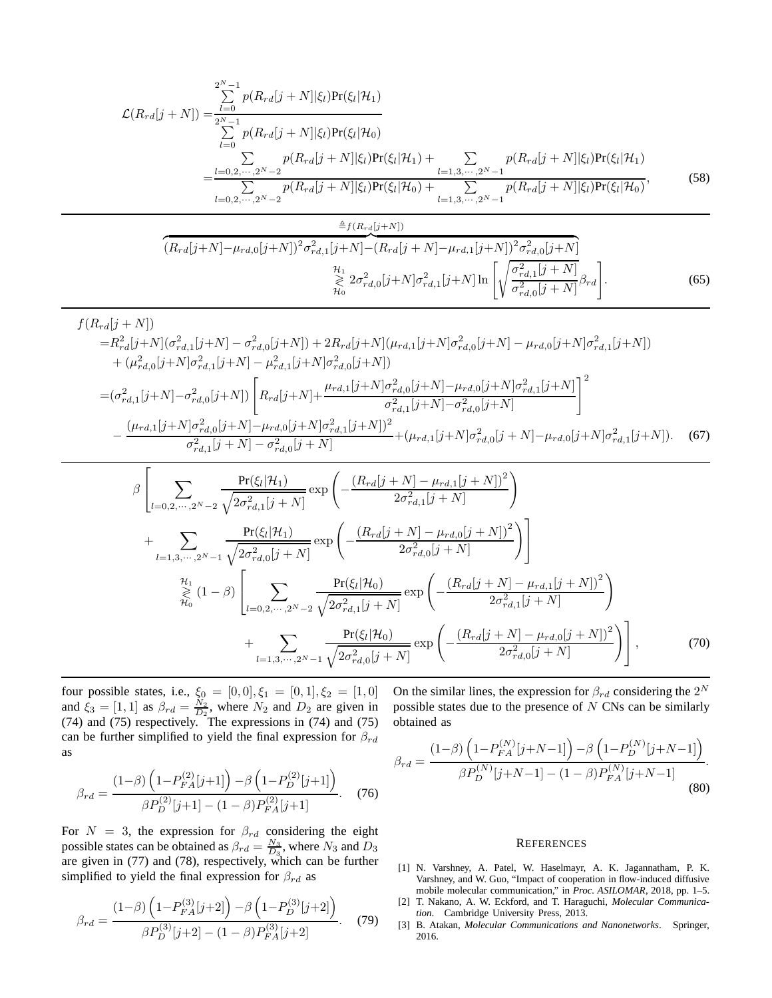$$
\mathcal{L}(R_{rd}[j+N]) = \frac{\sum_{l=0}^{2^{N}-1} p(R_{rd}[j+N]|\xi_{l})Pr(\xi_{l}|\mathcal{H}_{1})}{\sum_{l=0}^{2^{N}-1} p(R_{rd}[j+N]|\xi_{l})Pr(\xi_{l}|\mathcal{H}_{0})}
$$
  
= 
$$
\frac{\sum_{l=0,2,\cdots,2^{N}-2} p(R_{rd}[j+N]|\xi_{l})Pr(\xi_{l}|\mathcal{H}_{1}) + \sum_{l=1,3,\cdots,2^{N}-1} p(R_{rd}[j+N]|\xi_{l})Pr(\xi_{l}|\mathcal{H}_{1})}{\sum_{l=0,2,\cdots,2^{N}-2} p(R_{rd}[j+N]|\xi_{l})Pr(\xi_{l}|\mathcal{H}_{0}) + \sum_{l=1,3,\cdots,2^{N}-1} p(R_{rd}[j+N]|\xi_{l})Pr(\xi_{l}|\mathcal{H}_{0})},
$$
(58)

$$
\frac{\triangleq f(R_{rd}[j+N])}{(R_{rd}[j+N]-\mu_{rd,0}[j+N])^2 \sigma_{rd,1}^2[j+N] - (R_{rd}[j+N]-\mu_{rd,1}[j+N])^2 \sigma_{rd,0}^2[j+N]} \\
\frac{\mathcal{H}_1}{\geq \omega_{rd,0}^2[j+N] \sigma_{rd,1}^2[j+N] \ln \left[\sqrt{\frac{\sigma_{rd,1}^2[j+N]}{\sigma_{rd,0}^2[j+N]}} \beta_{rd}\right].
$$
\n(65)

$$
f(R_{rd}[j+N])
$$
\n
$$
=R_{rd}^{2}[j+N](\sigma_{rd,1}^{2}[j+N] - \sigma_{rd,0}^{2}[j+N]) + 2R_{rd}[j+N](\mu_{rd,1}[j+N]\sigma_{rd,0}^{2}[j+N] - \mu_{rd,0}[j+N]\sigma_{rd,1}^{2}[j+N])
$$
\n
$$
+ (\mu_{rd,0}^{2}[j+N]\sigma_{rd,1}^{2}[j+N] - \mu_{rd,1}^{2}[j+N]\sigma_{rd,0}^{2}[j+N])
$$
\n
$$
= (\sigma_{rd,1}^{2}[j+N] - \sigma_{rd,0}^{2}[j+N]) \left[R_{rd}[j+N] + \frac{\mu_{rd,1}[j+N]\sigma_{rd,0}^{2}[j+N] - \mu_{rd,0}[j+N]\sigma_{rd,1}^{2}[j+N]}{\sigma_{rd,1}^{2}[j+N] - \sigma_{rd,0}^{2}[j+N]} \right]^{2}
$$
\n
$$
- \frac{(\mu_{rd,1}[j+N]\sigma_{rd,0}^{2}[j+N] - \mu_{rd,0}[j+N]\sigma_{rd,1}^{2}[j+N])^{2}}{\sigma_{rd,1}^{2}[j+N] - \sigma_{rd,0}^{2}[j+N]} + (\mu_{rd,1}[j+N]\sigma_{rd,0}^{2}[j+N] - \mu_{rd,0}[j+N]\sigma_{rd,1}^{2}[j+N]).
$$
\n(67)

$$
\beta \left[ \sum_{l=0,2,\dots,2^{N}-2} \frac{\Pr(\xi_{l}|\mathcal{H}_{1})}{\sqrt{2\sigma_{rd,1}^{2}[j+N]}} \exp\left(-\frac{(R_{rd}[j+N]-\mu_{rd,1}[j+N])^{2}}{2\sigma_{rd,1}^{2}[j+N]}\right) + \sum_{l=1,3,\dots,2^{N}-1} \frac{\Pr(\xi_{l}|\mathcal{H}_{1})}{\sqrt{2\sigma_{rd,0}^{2}[j+N]}} \exp\left(-\frac{(R_{rd}[j+N]-\mu_{rd,0}[j+N])^{2}}{2\sigma_{rd,0}^{2}[j+N]}\right)\right] + \sum_{l=0,2,\dots,2^{N}-2} \frac{\Pr(\xi_{l}|\mathcal{H}_{0})}{\sqrt{2\sigma_{rd,1}^{2}[j+N]}} \exp\left(-\frac{(R_{rd}[j+N]-\mu_{rd,1}[j+N])^{2}}{2\sigma_{rd,1}^{2}[j+N]}\right) + \sum_{l=1,3,\dots,2^{N}-1} \frac{\Pr(\xi_{l}|\mathcal{H}_{0})}{\sqrt{2\sigma_{rd,0}^{2}[j+N]}} \exp\left(-\frac{(R_{rd}[j+N]-\mu_{rd,0}[j+N])^{2}}{2\sigma_{rd,0}^{2}[j+N]}\right),
$$
\n(70)

four possible states, i.e.,  $\xi_0 = [0, 0], \xi_1 = [0, 1], \xi_2 = [1, 0]$ and  $\xi_3 = [1, 1]$  as  $\beta_{rd} = \frac{N_2}{D_2}$ , where  $N_2$  and  $D_2$  are given in (74) and (75) respectively. The expressions in (74) and (75) can be further simplified to yield the final expression for  $\beta_{rd}$ as

$$
\beta_{rd} = \frac{(1-\beta)\left(1 - P_{FA}^{(2)}[j+1]\right) - \beta\left(1 - P_D^{(2)}[j+1]\right)}{\beta P_D^{(2)}[j+1] - (1-\beta)P_{FA}^{(2)}[j+1]}.
$$
 (76)

For  $N = 3$ , the expression for  $\beta_{rd}$  considering the eight possible states can be obtained as  $\beta_{rd} = \frac{N_3}{D_3}$ , where  $N_3$  and  $D_3$ are given in (77) and (78), respectively, which can be further simplified to yield the final expression for  $\beta_{rd}$  as

$$
\beta_{rd} = \frac{(1-\beta)\left(1 - P_{FA}^{(3)}[j+2]\right) - \beta\left(1 - P_D^{(3)}[j+2]\right)}{\beta P_D^{(3)}[j+2] - (1-\beta)P_{FA}^{(3)}[j+2]}.
$$
 (79)

On the similar lines, the expression for  $\beta_{rd}$  considering the  $2^N$ possible states due to the presence of  $N$  CNs can be similarly obtained as

$$
\beta_{rd} = \frac{(1-\beta)\left(1 - P_{FA}^{(N)}[j+N-1]\right) - \beta\left(1 - P_D^{(N)}[j+N-1]\right)}{\beta P_D^{(N)}[j+N-1] - (1-\beta)P_{FA}^{(N)}[j+N-1]}.
$$
\n(80)

### **REFERENCES**

- [1] N. Varshney, A. Patel, W. Haselmayr, A. K. Jagannatham, P. K. Varshney, and W. Guo, "Impact of cooperation in flow-induced diffusive mobile molecular communication," in *Proc. ASILOMAR*, 2018, pp. 1–5.
- [2] T. Nakano, A. W. Eckford, and T. Haraguchi, *Molecular Communication*. Cambridge University Press, 2013.
- [3] B. Atakan, *Molecular Communications and Nanonetworks*. Springer, 2016.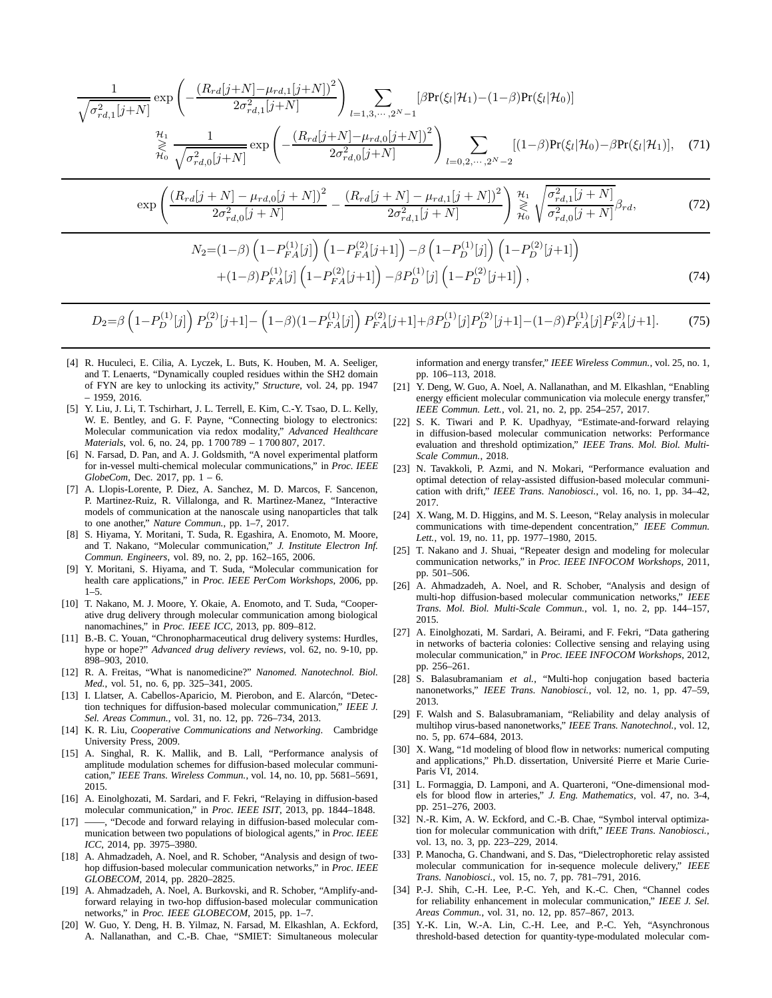$$
\frac{1}{\sqrt{\sigma_{rd,1}^{2}[j+N]}} \exp\left(-\frac{(R_{rd}[j+N]-\mu_{rd,1}[j+N])^{2}}{2\sigma_{rd,1}^{2}[j+N]}\right) \sum_{l=1,3,\cdots,2^{N}-1} [\beta \Pr(\xi_{l}|\mathcal{H}_{1}) - (1-\beta) \Pr(\xi_{l}|\mathcal{H}_{0})]
$$
\n
$$
\underset{\mathcal{H}_{0}}{\overset{\mathcal{H}_{1}}{\geq}} \frac{1}{\sqrt{\sigma_{rd,0}^{2}[j+N]}} \exp\left(-\frac{(R_{rd}[j+N]-\mu_{rd,0}[j+N])^{2}}{2\sigma_{rd,0}^{2}[j+N]}\right) \sum_{l=0,2,\cdots,2^{N}-2} [(1-\beta) \Pr(\xi_{l}|\mathcal{H}_{0}) - \beta \Pr(\xi_{l}|\mathcal{H}_{1})], \quad (71)
$$
\n
$$
\exp\left(\frac{(R_{rd}[j+N]-\mu_{rd,0}[j+N])^{2}}{2\sigma_{rd,0}^{2}[j+N]} - \frac{(R_{rd}[j+N]-\mu_{rd,1}[j+N])^{2}}{2\sigma_{rd,1}^{2}[j+N]}\right) \underset{\mathcal{H}_{0}}{\overset{\mathcal{H}_{1}}{\geq}} \sqrt{\frac{\sigma_{rd,1}^{2}[j+N]}{\sigma_{rd,0}^{2}[j+N]}} \beta_{rd}, \quad (72)
$$
\n
$$
N_{2}=(1-\beta)\left(1-P_{FA}^{(1)}[j]\right)\left(1-P_{FA}^{(2)}[j+1]\right) - \beta\left(1-P_{D}^{(1)}[j]\right)\left(1-P_{D}^{(2)}[j+1]\right)
$$

$$
+(1-\beta)P_{FA}^{(1)}[j]\left(1-P_{FA}^{(2)}[j+1]\right)-\beta P_D^{(1)}[j]\left(1-P_D^{(2)}[j+1]\right),\tag{74}
$$

## $D_2 = \beta \left(1 - P_D^{(1)}[j]\right) P_D^{(2)}[j+1] - \left(1 - \beta \right)(1 - P_{FA}^{(1)}[j]) P_D^{(2)}[j+1] + \beta P_D^{(1)}[j] P_D^{(2)}[j+1] - (1 - \beta) P_{FA}^{(1)}[j] P_{FA}^{(2)}[j+1]$ . (75)

- [4] R. Huculeci, E. Cilia, A. Lyczek, L. Buts, K. Houben, M. A. Seeliger, and T. Lenaerts, "Dynamically coupled residues within the SH2 domain of FYN are key to unlocking its activity," *Structure*, vol. 24, pp. 1947 – 1959, 2016.
- [5] Y. Liu, J. Li, T. Tschirhart, J. L. Terrell, E. Kim, C.-Y. Tsao, D. L. Kelly, W. E. Bentley, and G. F. Payne, "Connecting biology to electronics: Molecular communication via redox modality," *Advanced Healthcare Materials*, vol. 6, no. 24, pp. 1 700 789 – 1 700 807, 2017.
- [6] N. Farsad, D. Pan, and A. J. Goldsmith, "A novel experimental platform for in-vessel multi-chemical molecular communications," in *Proc. IEEE GlobeCom*, Dec. 2017, pp. 1 – 6.
- [7] A. Llopis-Lorente, P. Diez, A. Sanchez, M. D. Marcos, F. Sancenon, P. Martinez-Ruiz, R. Villalonga, and R. Martìnez-Manez, "Interactive models of communication at the nanoscale using nanoparticles that talk to one another," *Nature Commun.*, pp. 1–7, 2017.
- [8] S. Hiyama, Y. Moritani, T. Suda, R. Egashira, A. Enomoto, M. Moore, and T. Nakano, "Molecular communication," *J. Institute Electron Inf. Commun. Engineers*, vol. 89, no. 2, pp. 162–165, 2006.
- [9] Y. Moritani, S. Hiyama, and T. Suda, "Molecular communication for health care applications," in *Proc. IEEE PerCom Workshops*, 2006, pp.  $1 - 5$ .
- [10] T. Nakano, M. J. Moore, Y. Okaie, A. Enomoto, and T. Suda, "Cooperative drug delivery through molecular communication among biological nanomachines," in *Proc. IEEE ICC*, 2013, pp. 809–812.
- [11] B.-B. C. Youan, "Chronopharmaceutical drug delivery systems: Hurdles, hype or hope?" *Advanced drug delivery reviews*, vol. 62, no. 9-10, pp. 898–903, 2010.
- [12] R. A. Freitas, "What is nanomedicine?" *Nanomed. Nanotechnol. Biol. Med.*, vol. 51, no. 6, pp. 325–341, 2005.
- [13] I. Llatser, A. Cabellos-Aparicio, M. Pierobon, and E. Alarcón, "Detection techniques for diffusion-based molecular communication," *IEEE J. Sel. Areas Commun.*, vol. 31, no. 12, pp. 726–734, 2013.
- [14] K. R. Liu, *Cooperative Communications and Networking*. Cambridge University Press, 2009.
- [15] A. Singhal, R. K. Mallik, and B. Lall, "Performance analysis of amplitude modulation schemes for diffusion-based molecular communication," *IEEE Trans. Wireless Commun.*, vol. 14, no. 10, pp. 5681–5691, 2015.
- [16] A. Einolghozati, M. Sardari, and F. Fekri, "Relaying in diffusion-based molecular communication," in *Proc. IEEE ISIT*, 2013, pp. 1844–1848.
- [17] ——, "Decode and forward relaying in diffusion-based molecular communication between two populations of biological agents," in *Proc. IEEE ICC*, 2014, pp. 3975–3980.
- [18] A. Ahmadzadeh, A. Noel, and R. Schober, "Analysis and design of twohop diffusion-based molecular communication networks," in *Proc. IEEE GLOBECOM*, 2014, pp. 2820–2825.
- [19] A. Ahmadzadeh, A. Noel, A. Burkovski, and R. Schober, "Amplify-andforward relaying in two-hop diffusion-based molecular communication networks," in *Proc. IEEE GLOBECOM*, 2015, pp. 1–7.
- [20] W. Guo, Y. Deng, H. B. Yilmaz, N. Farsad, M. Elkashlan, A. Eckford, A. Nallanathan, and C.-B. Chae, "SMIET: Simultaneous molecular

information and energy transfer," *IEEE Wireless Commun.*, vol. 25, no. 1, pp. 106–113, 2018.

- [21] Y. Deng, W. Guo, A. Noel, A. Nallanathan, and M. Elkashlan, "Enabling energy efficient molecular communication via molecule energy transfer, *IEEE Commun. Lett.*, vol. 21, no. 2, pp. 254–257, 2017.
- [22] S. K. Tiwari and P. K. Upadhyay, "Estimate-and-forward relaying in diffusion-based molecular communication networks: Performance evaluation and threshold optimization," *IEEE Trans. Mol. Biol. Multi-Scale Commun.*, 2018.
- [23] N. Tavakkoli, P. Azmi, and N. Mokari, "Performance evaluation and optimal detection of relay-assisted diffusion-based molecular communication with drift," *IEEE Trans. Nanobiosci.*, vol. 16, no. 1, pp. 34–42, 2017.
- [24] X. Wang, M. D. Higgins, and M. S. Leeson, "Relay analysis in molecular communications with time-dependent concentration," *IEEE Commun. Lett.*, vol. 19, no. 11, pp. 1977–1980, 2015.
- [25] T. Nakano and J. Shuai, "Repeater design and modeling for molecular communication networks," in *Proc. IEEE INFOCOM Workshops*, 2011, pp. 501–506.
- [26] A. Ahmadzadeh, A. Noel, and R. Schober, "Analysis and design of multi-hop diffusion-based molecular communication networks," *IEEE Trans. Mol. Biol. Multi-Scale Commun.*, vol. 1, no. 2, pp. 144–157, 2015.
- [27] A. Einolghozati, M. Sardari, A. Beirami, and F. Fekri, "Data gathering in networks of bacteria colonies: Collective sensing and relaying using molecular communication," in *Proc. IEEE INFOCOM Workshops*, 2012, pp. 256–261.
- [28] S. Balasubramaniam *et al.*, "Multi-hop conjugation based bacteria nanonetworks," *IEEE Trans. Nanobiosci.*, vol. 12, no. 1, pp. 47–59, 2013.
- [29] F. Walsh and S. Balasubramaniam, "Reliability and delay analysis of multihop virus-based nanonetworks," *IEEE Trans. Nanotechnol.*, vol. 12, no. 5, pp. 674–684, 2013.
- [30] X. Wang, "1d modeling of blood flow in networks: numerical computing and applications," Ph.D. dissertation, Université Pierre et Marie Curie-Paris VI, 2014.
- [31] L. Formaggia, D. Lamponi, and A. Quarteroni, "One-dimensional models for blood flow in arteries," *J. Eng. Mathematics*, vol. 47, no. 3-4, pp. 251–276, 2003.
- [32] N.-R. Kim, A. W. Eckford, and C.-B. Chae, "Symbol interval optimization for molecular communication with drift," *IEEE Trans. Nanobiosci.*, vol. 13, no. 3, pp. 223–229, 2014.
- [33] P. Manocha, G. Chandwani, and S. Das, "Dielectrophoretic relay assisted molecular communication for in-sequence molecule delivery," *IEEE Trans. Nanobiosci.*, vol. 15, no. 7, pp. 781–791, 2016.
- [34] P.-J. Shih, C.-H. Lee, P.-C. Yeh, and K.-C. Chen, "Channel codes for reliability enhancement in molecular communication," *IEEE J. Sel. Areas Commun.*, vol. 31, no. 12, pp. 857–867, 2013.
- [35] Y.-K. Lin, W.-A. Lin, C.-H. Lee, and P.-C. Yeh, "Asynchronous threshold-based detection for quantity-type-modulated molecular com-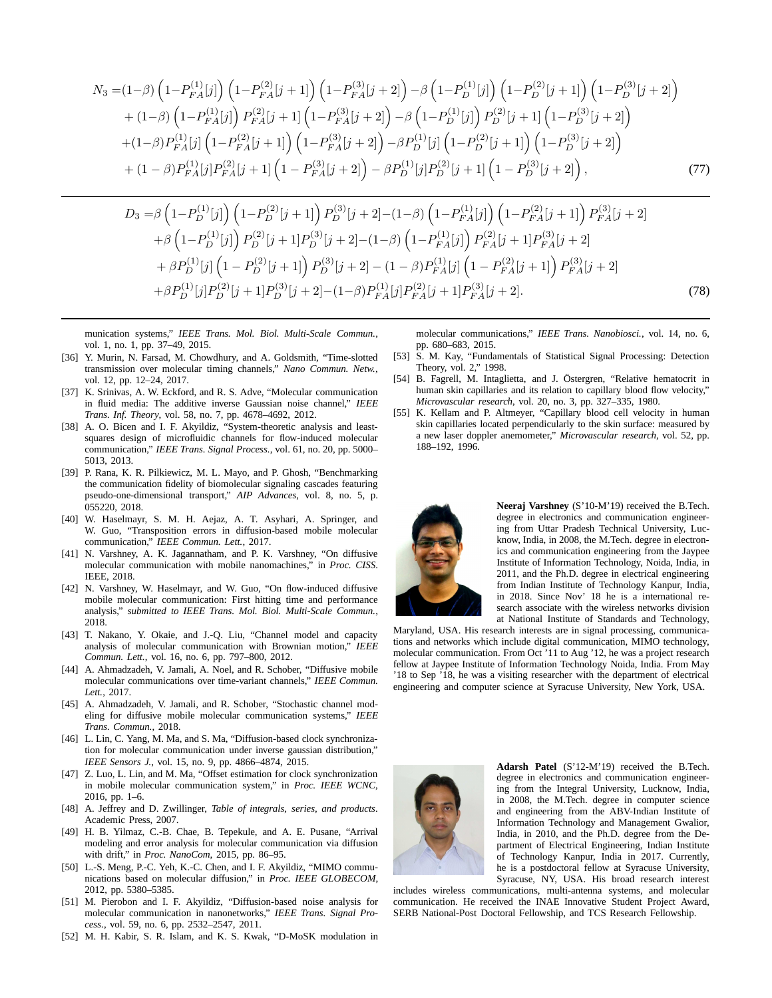$$
N_3 = (1 - \beta) \left(1 - P_{FA}^{(1)}[j]\right) \left(1 - P_{FA}^{(2)}[j+1]\right) \left(1 - P_{FA}^{(3)}[j+2]\right) - \beta \left(1 - P_{D}^{(1)}[j]\right) \left(1 - P_{D}^{(2)}[j+1]\right) \left(1 - P_{D}^{(3)}[j+2]\right) + (1 - \beta) \left(1 - P_{FA}^{(1)}[j]\right) P_{FA}^{(2)}[j+1] \left(1 - P_{FA}^{(3)}[j+2]\right) - \beta \left(1 - P_{D}^{(1)}[j]\right) P_{D}^{(2)}[j+1] \left(1 - P_{D}^{(3)}[j+2]\right) + (1 - \beta) P_{FA}^{(1)}[j] \left(1 - P_{FA}^{(2)}[j+1]\right) \left(1 - P_{FA}^{(3)}[j+2]\right) - \beta P_{D}^{(1)}[j] \left(1 - P_{D}^{(2)}[j+1]\right) \left(1 - P_{D}^{(3)}[j+2]\right) + (1 - \beta) P_{FA}^{(1)}[j] P_{FA}^{(2)}[j+1] \left(1 - P_{FA}^{(3)}[j+2]\right) - \beta P_{D}^{(1)}[j] P_{D}^{(2)}[j+1] \left(1 - P_{D}^{(3)}[j+2]\right),
$$
(77)

$$
D_3 = \beta \left(1 - P_D^{(1)}[j]\right) \left(1 - P_D^{(2)}[j+1]\right) P_D^{(3)}[j+2] - (1-\beta) \left(1 - P_{FA}^{(1)}[j]\right) \left(1 - P_{FA}^{(2)}[j+1]\right) P_{FA}^{(3)}[j+2] + \beta \left(1 - P_D^{(1)}[j]\right) P_D^{(2)}[j+1] P_D^{(3)}[j+2] - (1-\beta) \left(1 - P_{FA}^{(1)}[j]\right) P_{FA}^{(2)}[j+1] P_{FA}^{(3)}[j+2] + \beta P_D^{(1)}[j] \left(1 - P_D^{(2)}[j+1]\right) P_D^{(3)}[j+2] - (1-\beta) P_{FA}^{(1)}[j] \left(1 - P_{FA}^{(2)}[j+1]\right) P_{FA}^{(3)}[j+2] + \beta P_D^{(1)}[j] P_D^{(2)}[j+1] P_D^{(3)}[j+2] - (1-\beta) P_{FA}^{(1)}[j] P_{FA}^{(2)}[j+1] P_{FA}^{(3)}[j+2].
$$
\n(78)

munication systems," *IEEE Trans. Mol. Biol. Multi-Scale Commun.*, vol. 1, no. 1, pp. 37–49, 2015.

- [36] Y. Murin, N. Farsad, M. Chowdhury, and A. Goldsmith, "Time-slotted transmission over molecular timing channels," *Nano Commun. Netw.*, vol. 12, pp. 12–24, 2017.
- [37] K. Srinivas, A. W. Eckford, and R. S. Adve, "Molecular communication in fluid media: The additive inverse Gaussian noise channel," *IEEE Trans. Inf. Theory*, vol. 58, no. 7, pp. 4678–4692, 2012.
- [38] A. O. Bicen and I. F. Akyildiz, "System-theoretic analysis and leastsquares design of microfluidic channels for flow-induced molecular communication," *IEEE Trans. Signal Process.*, vol. 61, no. 20, pp. 5000– 5013, 2013.
- [39] P. Rana, K. R. Pilkiewicz, M. L. Mayo, and P. Ghosh, "Benchmarking the communication fidelity of biomolecular signaling cascades featuring pseudo-one-dimensional transport," *AIP Advances*, vol. 8, no. 5, p. 055220, 2018.
- [40] W. Haselmayr, S. M. H. Aejaz, A. T. Asyhari, A. Springer, and W. Guo, "Transposition errors in diffusion-based mobile molecular communication," *IEEE Commun. Lett.*, 2017.
- [41] N. Varshney, A. K. Jagannatham, and P. K. Varshney, "On diffusive molecular communication with mobile nanomachines," in *Proc. CISS*. IEEE, 2018.
- [42] N. Varshney, W. Haselmayr, and W. Guo, "On flow-induced diffusive mobile molecular communication: First hitting time and performance analysis," *submitted to IEEE Trans. Mol. Biol. Multi-Scale Commun.*, 2018.
- [43] T. Nakano, Y. Okaie, and J.-Q. Liu, "Channel model and capacity analysis of molecular communication with Brownian motion," *IEEE Commun. Lett.*, vol. 16, no. 6, pp. 797–800, 2012.
- [44] A. Ahmadzadeh, V. Jamali, A. Noel, and R. Schober, "Diffusive mobile molecular communications over time-variant channels," *IEEE Commun. Lett.*, 2017.
- [45] A. Ahmadzadeh, V. Jamali, and R. Schober, "Stochastic channel modeling for diffusive mobile molecular communication systems," *IEEE Trans. Commun.*, 2018.
- [46] L. Lin, C. Yang, M. Ma, and S. Ma, "Diffusion-based clock synchronization for molecular communication under inverse gaussian distribution," *IEEE Sensors J.*, vol. 15, no. 9, pp. 4866–4874, 2015.
- [47] Z. Luo, L. Lin, and M. Ma, "Offset estimation for clock synchronization in mobile molecular communication system," in *Proc. IEEE WCNC*, 2016, pp. 1–6.
- [48] A. Jeffrey and D. Zwillinger, *Table of integrals, series, and products*. Academic Press, 2007.
- [49] H. B. Yilmaz, C.-B. Chae, B. Tepekule, and A. E. Pusane, "Arrival modeling and error analysis for molecular communication via diffusion with drift," in *Proc. NanoCom*, 2015, pp. 86–95.
- [50] L.-S. Meng, P.-C. Yeh, K.-C. Chen, and I. F. Akyildiz, "MIMO communications based on molecular diffusion," in *Proc. IEEE GLOBECOM*, 2012, pp. 5380–5385.
- [51] M. Pierobon and I. F. Akyildiz, "Diffusion-based noise analysis for molecular communication in nanonetworks," *IEEE Trans. Signal Process.*, vol. 59, no. 6, pp. 2532–2547, 2011.
- [52] M. H. Kabir, S. R. Islam, and K. S. Kwak, "D-MoSK modulation in

molecular communications," *IEEE Trans. Nanobiosci.*, vol. 14, no. 6, pp. 680–683, 2015.

- [53] S. M. Kay, "Fundamentals of Statistical Signal Processing: Detection Theory, vol. 2," 1998.
- [54] B. Fagrell, M. Intaglietta, and J. Östergren, "Relative hematocrit in human skin capillaries and its relation to capillary blood flow velocity," *Microvascular research*, vol. 20, no. 3, pp. 327–335, 1980.
- K. Kellam and P. Altmeyer, "Capillary blood cell velocity in human skin capillaries located perpendicularly to the skin surface: measured by a new laser doppler anemometer," *Microvascular research*, vol. 52, pp. 188–192, 1996.



**Neeraj Varshney** (S'10-M'19) received the B.Tech. degree in electronics and communication engineering from Uttar Pradesh Technical University, Lucknow, India, in 2008, the M.Tech. degree in electronics and communication engineering from the Jaypee Institute of Information Technology, Noida, India, in 2011, and the Ph.D. degree in electrical engineering from Indian Institute of Technology Kanpur, India, in 2018. Since Nov' 18 he is a international research associate with the wireless networks division at National Institute of Standards and Technology,

Maryland, USA. His research interests are in signal processing, communications and networks which include digital communication, MIMO technology, molecular communication. From Oct '11 to Aug '12, he was a project research fellow at Jaypee Institute of Information Technology Noida, India. From May '18 to Sep '18, he was a visiting researcher with the department of electrical engineering and computer science at Syracuse University, New York, USA.



**Adarsh Patel** (S'12-M'19) received the B.Tech. degree in electronics and communication engineering from the Integral University, Lucknow, India, in 2008, the M.Tech. degree in computer science and engineering from the ABV-Indian Institute of Information Technology and Management Gwalior, India, in 2010, and the Ph.D. degree from the Department of Electrical Engineering, Indian Institute of Technology Kanpur, India in 2017. Currently, he is a postdoctoral fellow at Syracuse University, Syracuse, NY, USA. His broad research interest

includes wireless communications, multi-antenna systems, and molecular communication. He received the INAE Innovative Student Project Award, SERB National-Post Doctoral Fellowship, and TCS Research Fellowship.